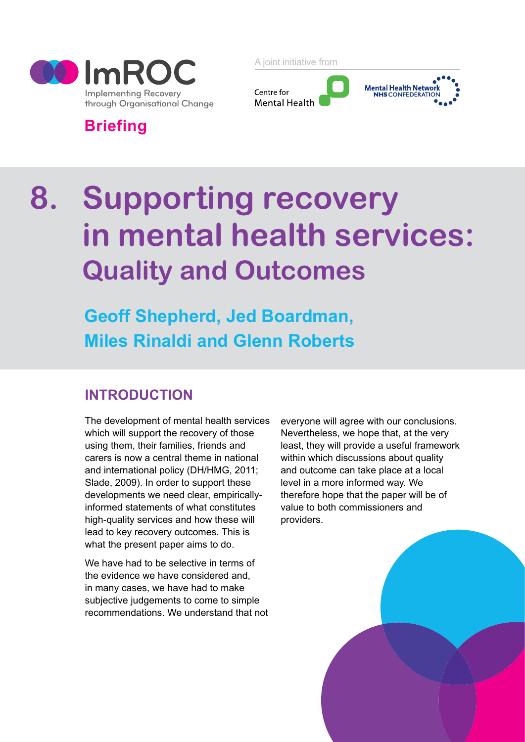

A joint initiative from



# **Briefing**

# **8. Supporting recovery in mental health services: Quality and Outcomes**

**Geoff Shepherd, Jed Boardman, Miles Rinaldi and Glenn Roberts**

# **INTRODUCTION**

The development of mental health services which will support the recovery of those using them, their families, friends and carers is now a central theme in national and international policy (DH/HMG, 2011; Slade, 2009). In order to support these developments we need clear, empiricallyinformed statements of what constitutes high-quality services and how these will lead to key recovery outcomes. This is what the present paper aims to do.

We have had to be selective in terms of the evidence we have considered and, in many cases, we have had to make subjective judgements to come to simple recommendations. We understand that not

everyone will agree with our conclusions. Nevertheless, we hope that, at the very least, they will provide a useful framework within which discussions about quality and outcome can take place at a local level in a more informed way. We therefore hope that the paper will be of value to both commissioners and providers.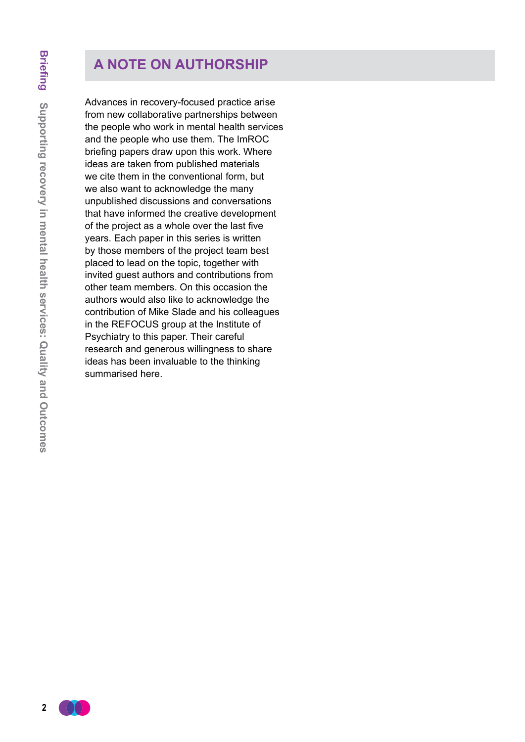# **A NOTE ON AUTHORSHIP**

Advances in recovery-focused practice arise from new collaborative partnerships between the people who work in mental health services and the people who use them. The ImROC briefing papers draw upon this work. Where ideas are taken from published materials we cite them in the conventional form, but we also want to acknowledge the many unpublished discussions and conversations that have informed the creative development of the project as a whole over the last five years. Each paper in this series is written by those members of the project team best placed to lead on the topic, together with invited guest authors and contributions from other team members. On this occasion the authors would also like to acknowledge the contribution of Mike Slade and his colleagues in the REFOCUS group at the Institute of Psychiatry to this paper. Their careful research and generous willingness to share ideas has been invaluable to the thinking summarised here.

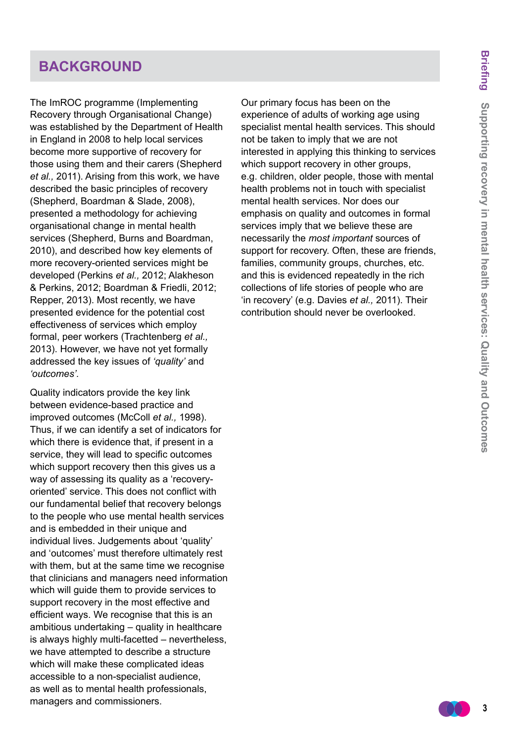# **BACKGROUND**

The ImROC programme (Implementing Recovery through Organisational Change) was established by the Department of Health in England in 2008 to help local services become more supportive of recovery for those using them and their carers (Shepherd *et al.,* 2011). Arising from this work, we have described the basic principles of recovery (Shepherd, Boardman & Slade, 2008), presented a methodology for achieving organisational change in mental health services (Shepherd, Burns and Boardman, 2010), and described how key elements of more recovery-oriented services might be developed (Perkins *et al.,* 2012; Alakheson & Perkins, 2012; Boardman & Friedli, 2012; Repper, 2013). Most recently, we have presented evidence for the potential cost effectiveness of services which employ formal, peer workers (Trachtenberg *et al.,* 2013). However, we have not yet formally addressed the key issues of *'quality'* and *'outcomes'.*

Quality indicators provide the key link between evidence-based practice and improved outcomes (McColl *et al.,* 1998). Thus, if we can identify a set of indicators for which there is evidence that, if present in a service, they will lead to specific outcomes which support recovery then this gives us a way of assessing its quality as a 'recoveryoriented' service. This does not conflict with our fundamental belief that recovery belongs to the people who use mental health services and is embedded in their unique and individual lives. Judgements about 'quality' and 'outcomes' must therefore ultimately rest with them, but at the same time we recognise that clinicians and managers need information which will guide them to provide services to support recovery in the most effective and efficient ways. We recognise that this is an ambitious undertaking – quality in healthcare is always highly multi-facetted – nevertheless, we have attempted to describe a structure which will make these complicated ideas accessible to a non-specialist audience, as well as to mental health professionals, managers and commissioners.

Our primary focus has been on the experience of adults of working age using specialist mental health services. This should not be taken to imply that we are not interested in applying this thinking to services which support recovery in other groups, e.g. children, older people, those with mental health problems not in touch with specialist mental health services. Nor does our emphasis on quality and outcomes in formal services imply that we believe these are necessarily the *most important* sources of support for recovery. Often, these are friends, families, community groups, churches, etc. and this is evidenced repeatedly in the rich collections of life stories of people who are 'in recovery' (e.g. Davies *et al.,* 2011). Their contribution should never be overlooked.

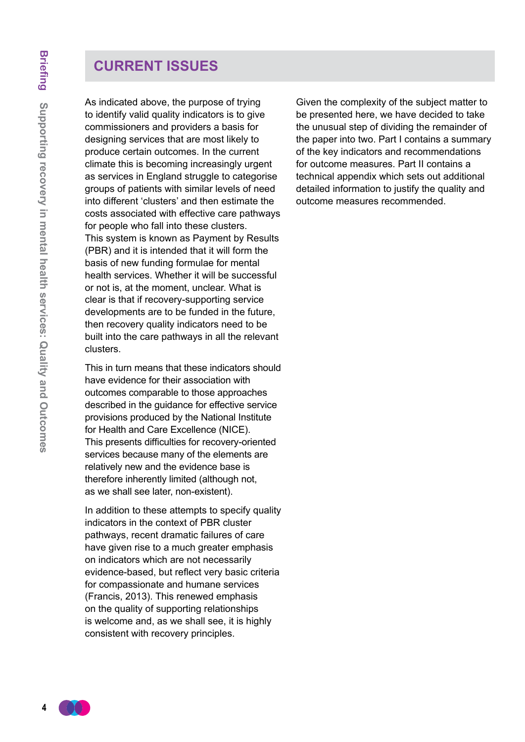# **CURRENT ISSUES**

As indicated above, the purpose of trying to identify valid quality indicators is to give commissioners and providers a basis for designing services that are most likely to produce certain outcomes. In the current climate this is becoming increasingly urgent as services in England struggle to categorise groups of patients with similar levels of need into different 'clusters' and then estimate the costs associated with effective care pathways for people who fall into these clusters. This system is known as Payment by Results (PBR) and it is intended that it will form the basis of new funding formulae for mental health services. Whether it will be successful or not is, at the moment, unclear. What is clear is that if recovery-supporting service developments are to be funded in the future, then recovery quality indicators need to be built into the care pathways in all the relevant clusters.

This in turn means that these indicators should have evidence for their association with outcomes comparable to those approaches described in the guidance for effective service provisions produced by the National Institute for Health and Care Excellence (NICE). This presents difficulties for recovery-oriented services because many of the elements are relatively new and the evidence base is therefore inherently limited (although not, as we shall see later, non-existent).

In addition to these attempts to specify quality indicators in the context of PBR cluster pathways, recent dramatic failures of care have given rise to a much greater emphasis on indicators which are not necessarily evidence-based, but reflect very basic criteria for compassionate and humane services (Francis, 2013). This renewed emphasis on the quality of supporting relationships is welcome and, as we shall see, it is highly consistent with recovery principles.

Given the complexity of the subject matter to be presented here, we have decided to take the unusual step of dividing the remainder of the paper into two. Part I contains a summary of the key indicators and recommendations for outcome measures. Part II contains a technical appendix which sets out additional detailed information to justify the quality and outcome measures recommended.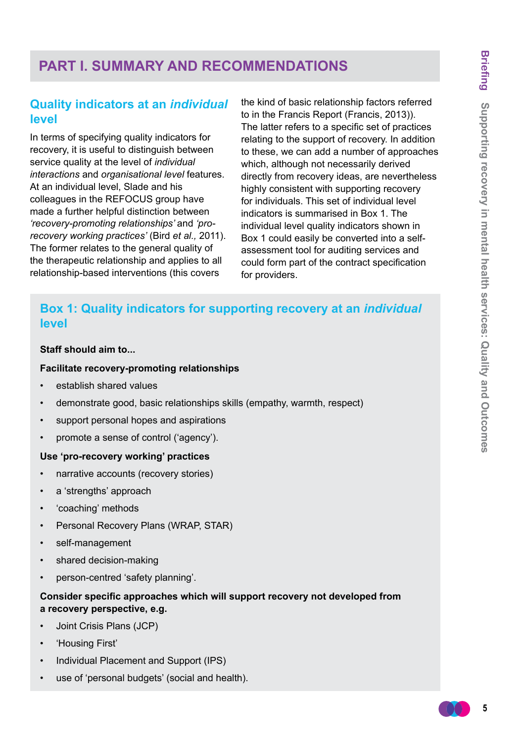# **PART I. SUMMARY AND RECOMMENDATIONS**

# **Quality indicators at an** *individual* **level**

In terms of specifying quality indicators for recovery, it is useful to distinguish between service quality at the level of *individual interactions* and *organisational level* features. At an individual level, Slade and his colleagues in the REFOCUS group have made a further helpful distinction between *'recovery-promoting relationships'* and *'prorecovery working practices'* (Bird *et al.,* 2011). The former relates to the general quality of the therapeutic relationship and applies to all relationship-based interventions (this covers

the kind of basic relationship factors referred to in the Francis Report (Francis, 2013)). The latter refers to a specific set of practices relating to the support of recovery. In addition to these, we can add a number of approaches which, although not necessarily derived directly from recovery ideas, are nevertheless highly consistent with supporting recovery for individuals. This set of individual level indicators is summarised in Box 1. The individual level quality indicators shown in Box 1 could easily be converted into a selfassessment tool for auditing services and could form part of the contract specification for providers.

# **Box 1: Quality indicators for supporting recovery at an** *individual* **level**

#### **Staff should aim to...**

#### **Facilitate recovery-promoting relationships**

- establish shared values
- demonstrate good, basic relationships skills (empathy, warmth, respect)
- support personal hopes and aspirations
- promote a sense of control ('agency').

#### **Use 'pro-recovery working' practices**

- narrative accounts (recovery stories)
- a 'strengths' approach
- 'coaching' methods
- Personal Recovery Plans (WRAP, STAR)
- self-management
- shared decision-making
- person-centred 'safety planning'.

#### **Consider specific approaches which will support recovery not developed from a recovery perspective, e.g.**

- Joint Crisis Plans (JCP)
- 'Housing First'
- Individual Placement and Support (IPS)
- use of 'personal budgets' (social and health).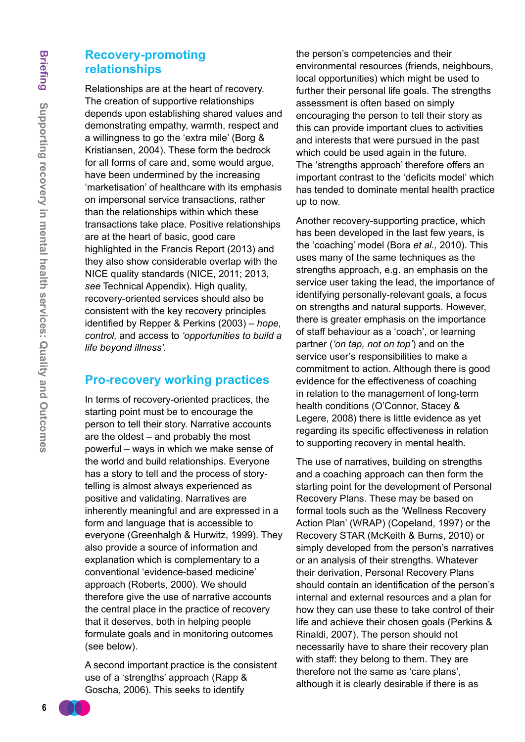### **Recovery-promoting relationships**

Relationships are at the heart of recovery. The creation of supportive relationships depends upon establishing shared values and demonstrating empathy, warmth, respect and a willingness to go the 'extra mile' (Borg & Kristiansen, 2004). These form the bedrock for all forms of care and, some would argue, have been undermined by the increasing 'marketisation' of healthcare with its emphasis on impersonal service transactions, rather than the relationships within which these transactions take place. Positive relationships are at the heart of basic, good care highlighted in the Francis Report (2013) and they also show considerable overlap with the NICE quality standards (NICE, 2011; 2013, *see* Technical Appendix). High quality, recovery-oriented services should also be consistent with the key recovery principles identified by Repper & Perkins (2003) – *hope, control,* and access to *'opportunities to build a life beyond illness'.*

### **Pro-recovery working practices**

In terms of recovery-oriented practices, the starting point must be to encourage the person to tell their story. Narrative accounts are the oldest – and probably the most powerful – ways in which we make sense of the world and build relationships. Everyone has a story to tell and the process of storytelling is almost always experienced as positive and validating. Narratives are inherently meaningful and are expressed in a form and language that is accessible to everyone (Greenhalgh & Hurwitz, 1999). They also provide a source of information and explanation which is complementary to a conventional 'evidence-based medicine' approach (Roberts, 2000). We should therefore give the use of narrative accounts the central place in the practice of recovery that it deserves, both in helping people formulate goals and in monitoring outcomes (see below).

A second important practice is the consistent use of a 'strengths' approach (Rapp & Goscha, 2006). This seeks to identify

the person's competencies and their environmental resources (friends, neighbours, local opportunities) which might be used to further their personal life goals. The strengths assessment is often based on simply encouraging the person to tell their story as this can provide important clues to activities and interests that were pursued in the past which could be used again in the future. The 'strengths approach' therefore offers an important contrast to the 'deficits model' which has tended to dominate mental health practice up to now.

Another recovery-supporting practice, which has been developed in the last few years, is the 'coaching' model (Bora *et al.,* 2010). This uses many of the same techniques as the strengths approach, e.g. an emphasis on the service user taking the lead, the importance of identifying personally-relevant goals, a focus on strengths and natural supports. However, there is greater emphasis on the importance of staff behaviour as a 'coach', or learning partner (*'on tap, not on top'*) and on the service user's responsibilities to make a commitment to action. Although there is good evidence for the effectiveness of coaching in relation to the management of long-term health conditions (O'Connor, Stacey & Legere, 2008) there is little evidence as yet regarding its specific effectiveness in relation to supporting recovery in mental health.

The use of narratives, building on strengths and a coaching approach can then form the starting point for the development of Personal Recovery Plans. These may be based on formal tools such as the 'Wellness Recovery Action Plan' (WRAP) (Copeland, 1997) or the Recovery STAR (McKeith & Burns, 2010) or simply developed from the person's narratives or an analysis of their strengths. Whatever their derivation, Personal Recovery Plans should contain an identification of the person's internal and external resources and a plan for how they can use these to take control of their life and achieve their chosen goals (Perkins & Rinaldi, 2007). The person should not necessarily have to share their recovery plan with staff: they belong to them. They are therefore not the same as 'care plans', although it is clearly desirable if there is as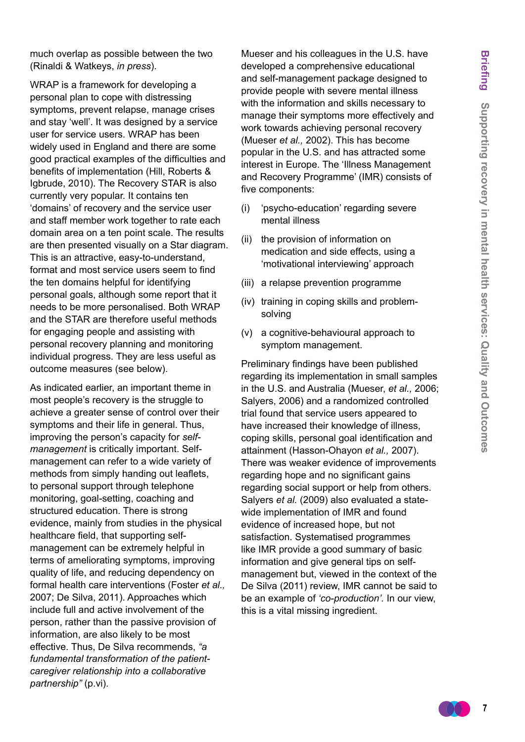much overlap as possible between the two (Rinaldi & Watkeys, *in press*).

WRAP is a framework for developing a personal plan to cope with distressing symptoms, prevent relapse, manage crises and stay 'well'. It was designed by a service user for service users. WRAP has been widely used in England and there are some good practical examples of the difficulties and benefits of implementation (Hill, Roberts & Igbrude, 2010). The Recovery STAR is also currently very popular. It contains ten 'domains' of recovery and the service user and staff member work together to rate each domain area on a ten point scale. The results are then presented visually on a Star diagram. This is an attractive, easy-to-understand, format and most service users seem to find the ten domains helpful for identifying personal goals, although some report that it needs to be more personalised. Both WRAP and the STAR are therefore useful methods for engaging people and assisting with personal recovery planning and monitoring individual progress. They are less useful as outcome measures (see below).

As indicated earlier, an important theme in most people's recovery is the struggle to achieve a greater sense of control over their symptoms and their life in general. Thus, improving the person's capacity for *selfmanagement* is critically important. Selfmanagement can refer to a wide variety of methods from simply handing out leaflets, to personal support through telephone monitoring, goal-setting, coaching and structured education. There is strong evidence, mainly from studies in the physical healthcare field, that supporting selfmanagement can be extremely helpful in terms of ameliorating symptoms, improving quality of life, and reducing dependency on formal health care interventions (Foster *et al.,* 2007; De Silva, 2011). Approaches which include full and active involvement of the person, rather than the passive provision of information, are also likely to be most effective. Thus, De Silva recommends, *"a fundamental transformation of the patientcaregiver relationship into a collaborative partnership"* (p.vi).

Mueser and his colleagues in the U.S. have developed a comprehensive educational and self-management package designed to provide people with severe mental illness with the information and skills necessary to manage their symptoms more effectively and work towards achieving personal recovery (Mueser *et al.,* 2002). This has become popular in the U.S. and has attracted some interest in Europe. The 'Illness Management and Recovery Programme' (IMR) consists of five components:

- (i) 'psycho-education' regarding severe mental illness
- (ii) the provision of information on medication and side effects, using a 'motivational interviewing' approach
- (iii) a relapse prevention programme
- (iv) training in coping skills and problemsolving
- (v) a cognitive-behavioural approach to symptom management.

Preliminary findings have been published regarding its implementation in small samples in the U.S. and Australia (Mueser, *et al.,* 2006; Salyers, 2006) and a randomized controlled trial found that service users appeared to have increased their knowledge of illness, coping skills, personal goal identification and attainment (Hasson-Ohayon *et al.,* 2007). There was weaker evidence of improvements regarding hope and no significant gains regarding social support or help from others. Salyers *et al.* (2009) also evaluated a statewide implementation of IMR and found evidence of increased hope, but not satisfaction. Systematised programmes like IMR provide a good summary of basic information and give general tips on selfmanagement but, viewed in the context of the De Silva (2011) review, IMR cannot be said to be an example of *'co-production'.* In our view, this is a vital missing ingredient.

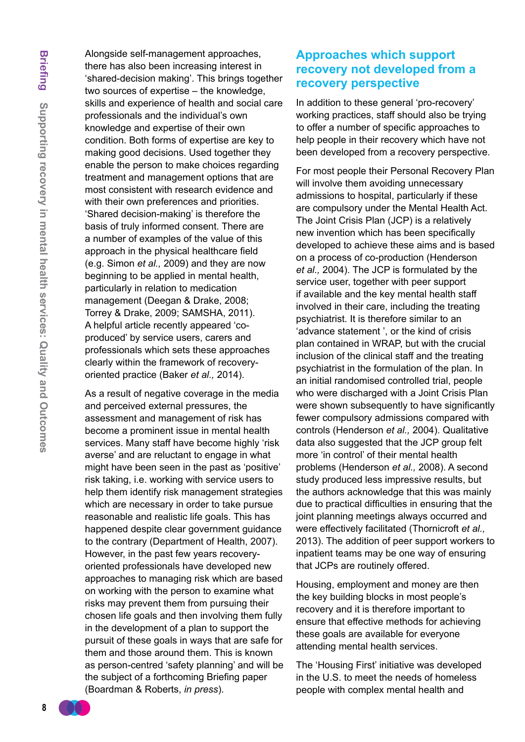Alongside self-management approaches, there has also been increasing interest in 'shared-decision making'. This brings together two sources of expertise – the knowledge, skills and experience of health and social care professionals and the individual's own knowledge and expertise of their own condition. Both forms of expertise are key to making good decisions. Used together they enable the person to make choices regarding treatment and management options that are most consistent with research evidence and with their own preferences and priorities. 'Shared decision-making' is therefore the basis of truly informed consent. There are a number of examples of the value of this approach in the physical healthcare field (e.g. Simon *et al.,* 2009) and they are now beginning to be applied in mental health, particularly in relation to medication management (Deegan & Drake, 2008; Torrey & Drake, 2009; SAMSHA, 2011). A helpful article recently appeared 'coproduced' by service users, carers and professionals which sets these approaches clearly within the framework of recoveryoriented practice (Baker *et al.,* 2014).

As a result of negative coverage in the media and perceived external pressures, the assessment and management of risk has become a prominent issue in mental health services. Many staff have become highly 'risk averse' and are reluctant to engage in what might have been seen in the past as 'positive' risk taking, i.e. working with service users to help them identify risk management strategies which are necessary in order to take pursue reasonable and realistic life goals. This has happened despite clear government guidance to the contrary (Department of Health, 2007). However, in the past few years recoveryoriented professionals have developed new approaches to managing risk which are based on working with the person to examine what risks may prevent them from pursuing their chosen life goals and then involving them fully in the development of a plan to support the pursuit of these goals in ways that are safe for them and those around them. This is known as person-centred 'safety planning' and will be the subject of a forthcoming Briefing paper (Boardman & Roberts, *in press*).

# **Approaches which support recovery not developed from a recovery perspective**

In addition to these general 'pro-recovery' working practices, staff should also be trying to offer a number of specific approaches to help people in their recovery which have not been developed from a recovery perspective.

For most people their Personal Recovery Plan will involve them avoiding unnecessary admissions to hospital, particularly if these are compulsory under the Mental Health Act. The Joint Crisis Plan (JCP) is a relatively new invention which has been specifically developed to achieve these aims and is based on a process of co-production (Henderson *et al.,* 2004). The JCP is formulated by the service user, together with peer support if available and the key mental health staff involved in their care, including the treating psychiatrist. It is therefore similar to an 'advance statement ', or the kind of crisis plan contained in WRAP, but with the crucial inclusion of the clinical staff and the treating psychiatrist in the formulation of the plan. In an initial randomised controlled trial, people who were discharged with a Joint Crisis Plan were shown subsequently to have significantly fewer compulsory admissions compared with controls (Henderson *et al.,* 2004). Qualitative data also suggested that the JCP group felt more 'in control' of their mental health problems (Henderson *et al.,* 2008). A second study produced less impressive results, but the authors acknowledge that this was mainly due to practical difficulties in ensuring that the joint planning meetings always occurred and were effectively facilitated (Thornicroft *et al.,* 2013). The addition of peer support workers to inpatient teams may be one way of ensuring that JCPs are routinely offered.

Housing, employment and money are then the key building blocks in most people's recovery and it is therefore important to ensure that effective methods for achieving these goals are available for everyone attending mental health services.

The 'Housing First' initiative was developed in the U.S. to meet the needs of homeless people with complex mental health and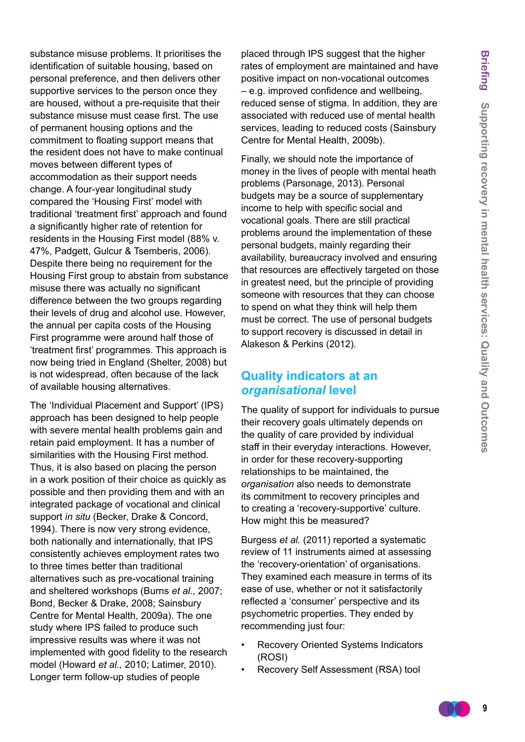substance misuse problems. It prioritises the identification of suitable housing, based on personal preference, and then delivers other supportive services to the person once they are housed, without a pre-requisite that their substance misuse must cease first. The use of permanent housing options and the commitment to floating support means that the resident does not have to make continual moves between different types of accommodation as their support needs change. A four-year longitudinal study compared the 'Housing First' model with traditional 'treatment first' approach and found a significantly higher rate of retention for residents in the Housing First model (88% v. 47%, Padgett, Gulcur & Tsemberis, 2006). Despite there being no requirement for the Housing First group to abstain from substance misuse there was actually no significant difference between the two groups regarding their levels of drug and alcohol use. However, the annual per capita costs of the Housing First programme were around half those of 'treatment first' programmes. This approach is now being tried in England (Shelter, 2008) but is not widespread, often because of the lack of available housing alternatives.

The 'Individual Placement and Support' (IPS) approach has been designed to help people with severe mental health problems gain and retain paid employment. It has a number of similarities with the Housing First method. Thus, it is also based on placing the person in a work position of their choice as quickly as possible and then providing them and with an integrated package of vocational and clinical support *in situ* (Becker, Drake & Concord, 1994). There is now very strong evidence, both nationally and internationally, that IPS consistently achieves employment rates two to three times better than traditional alternatives such as pre-vocational training and sheltered workshops (Burns *et al.,* 2007; Bond, Becker & Drake, 2008; Sainsbury Centre for Mental Health, 2009a). The one study where IPS failed to produce such impressive results was where it was not implemented with good fidelity to the research model (Howard *et al.,* 2010; Latimer, 2010). Longer term follow-up studies of people

placed through IPS suggest that the higher rates of employment are maintained and have positive impact on non-vocational outcomes – e.g. improved confidence and wellbeing, reduced sense of stigma. In addition, they are associated with reduced use of mental health services, leading to reduced costs (Sainsbury Centre for Mental Health, 2009b).

Finally, we should note the importance of money in the lives of people with mental heath problems (Parsonage, 2013). Personal budgets may be a source of supplementary income to help with specific social and vocational goals. There are still practical problems around the implementation of these personal budgets, mainly regarding their availability, bureaucracy involved and ensuring that resources are effectively targeted on those in greatest need, but the principle of providing someone with resources that they can choose to spend on what they think will help them must be correct. The use of personal budgets to support recovery is discussed in detail in Alakeson & Perkins (2012).

### **Quality indicators at an**  *organisational* **level**

The quality of support for individuals to pursue their recovery goals ultimately depends on the quality of care provided by individual staff in their everyday interactions. However, in order for these recovery-supporting relationships to be maintained, the *organisation* also needs to demonstrate its commitment to recovery principles and to creating a 'recovery-supportive' culture. How might this be measured?

Burgess *et al.* (2011) reported a systematic review of 11 instruments aimed at assessing the 'recovery-orientation' of organisations. They examined each measure in terms of its ease of use, whether or not it satisfactorily reflected a 'consumer' perspective and its psychometric properties. They ended by recommending just four:

- Recovery Oriented Systems Indicators (ROSI)
- Recovery Self Assessment (RSA) tool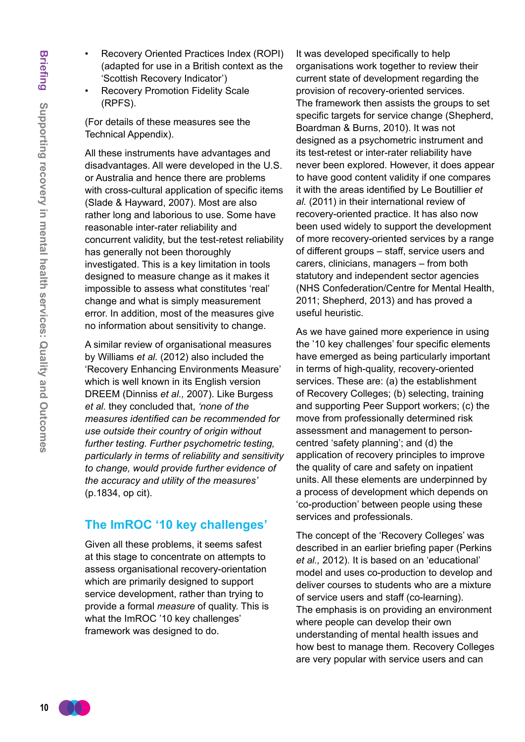- Recovery Oriented Practices Index (ROPI) (adapted for use in a British context as the 'Scottish Recovery Indicator')
- **Recovery Promotion Fidelity Scale** (RPFS).

(For details of these measures see the Technical Appendix).

All these instruments have advantages and disadvantages. All were developed in the U.S. or Australia and hence there are problems with cross-cultural application of specific items (Slade & Hayward, 2007). Most are also rather long and laborious to use. Some have reasonable inter-rater reliability and concurrent validity, but the test-retest reliability has generally not been thoroughly investigated. This is a key limitation in tools designed to measure change as it makes it impossible to assess what constitutes 'real' change and what is simply measurement error. In addition, most of the measures give no information about sensitivity to change.

A similar review of organisational measures by Williams *et al.* (2012) also included the 'Recovery Enhancing Environments Measure' which is well known in its English version DREEM (Dinniss *et al.,* 2007). Like Burgess *et al.* they concluded that, *'none of the measures identified can be recommended for use outside their country of origin without further testing. Further psychometric testing, particularly in terms of reliability and sensitivity to change, would provide further evidence of the accuracy and utility of the measures'*  (p.1834, op cit).

### **The ImROC '10 key challenges'**

Given all these problems, it seems safest at this stage to concentrate on attempts to assess organisational recovery-orientation which are primarily designed to support service development, rather than trying to provide a formal *measure* of quality. This is what the ImROC '10 key challenges' framework was designed to do.

It was developed specifically to help organisations work together to review their current state of development regarding the provision of recovery-oriented services. The framework then assists the groups to set specific targets for service change (Shepherd, Boardman & Burns, 2010). It was not designed as a psychometric instrument and its test-retest or inter-rater reliability have never been explored. However, it does appear to have good content validity if one compares it with the areas identified by Le Boutillier *et al.* (2011) in their international review of recovery-oriented practice. It has also now been used widely to support the development of more recovery-oriented services by a range of different groups – staff, service users and carers, clinicians, managers – from both statutory and independent sector agencies (NHS Confederation/Centre for Mental Health, 2011; Shepherd, 2013) and has proved a useful heuristic.

As we have gained more experience in using the '10 key challenges' four specific elements have emerged as being particularly important in terms of high-quality, recovery-oriented services. These are: (a) the establishment of Recovery Colleges; (b) selecting, training and supporting Peer Support workers; (c) the move from professionally determined risk assessment and management to personcentred 'safety planning'; and (d) the application of recovery principles to improve the quality of care and safety on inpatient units. All these elements are underpinned by a process of development which depends on 'co-production' between people using these services and professionals.

The concept of the 'Recovery Colleges' was described in an earlier briefing paper (Perkins *et al.,* 2012). It is based on an 'educational' model and uses co-production to develop and deliver courses to students who are a mixture of service users and staff (co-learning). The emphasis is on providing an environment where people can develop their own understanding of mental health issues and how best to manage them. Recovery Colleges are very popular with service users and can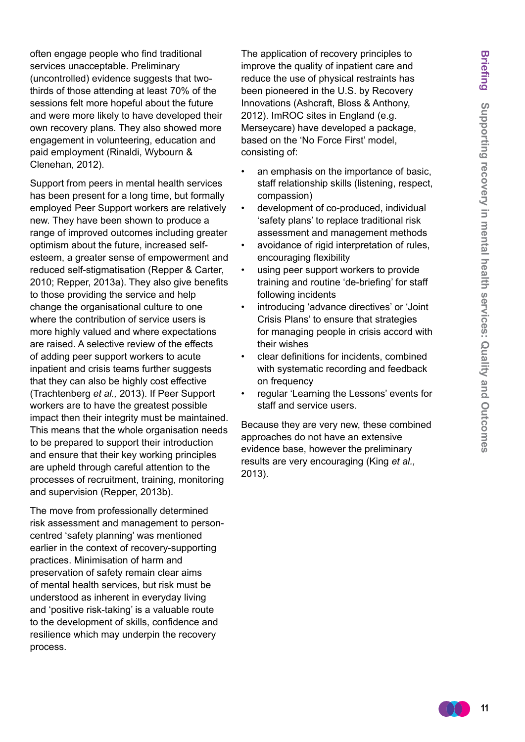often engage people who find traditional services unacceptable. Preliminary (uncontrolled) evidence suggests that twothirds of those attending at least 70% of the sessions felt more hopeful about the future and were more likely to have developed their own recovery plans. They also showed more engagement in volunteering, education and paid employment (Rinaldi, Wybourn & Clenehan, 2012).

Support from peers in mental health services has been present for a long time, but formally employed Peer Support workers are relatively new. They have been shown to produce a range of improved outcomes including greater optimism about the future, increased selfesteem, a greater sense of empowerment and reduced self-stigmatisation (Repper & Carter, 2010; Repper, 2013a). They also give benefits to those providing the service and help change the organisational culture to one where the contribution of service users is more highly valued and where expectations are raised. A selective review of the effects of adding peer support workers to acute inpatient and crisis teams further suggests that they can also be highly cost effective (Trachtenberg *et al.,* 2013). If Peer Support workers are to have the greatest possible impact then their integrity must be maintained. This means that the whole organisation needs to be prepared to support their introduction and ensure that their key working principles are upheld through careful attention to the processes of recruitment, training, monitoring and supervision (Repper, 2013b).

The move from professionally determined risk assessment and management to personcentred 'safety planning' was mentioned earlier in the context of recovery-supporting practices. Minimisation of harm and preservation of safety remain clear aims of mental health services, but risk must be understood as inherent in everyday living and 'positive risk-taking' is a valuable route to the development of skills, confidence and resilience which may underpin the recovery process.

The application of recovery principles to improve the quality of inpatient care and reduce the use of physical restraints has been pioneered in the U.S. by Recovery Innovations (Ashcraft, Bloss & Anthony, 2012). ImROC sites in England (e.g. Merseycare) have developed a package, based on the 'No Force First' model, consisting of:

- an emphasis on the importance of basic, staff relationship skills (listening, respect, compassion)
- development of co-produced, individual 'safety plans' to replace traditional risk assessment and management methods
	- avoidance of rigid interpretation of rules, encouraging flexibility
- using peer support workers to provide training and routine 'de-briefing' for staff following incidents
- introducing 'advance directives' or 'Joint Crisis Plans' to ensure that strategies for managing people in crisis accord with their wishes
- clear definitions for incidents, combined with systematic recording and feedback on frequency
- regular 'Learning the Lessons' events for staff and service users.

Because they are very new, these combined approaches do not have an extensive evidence base, however the preliminary results are very encouraging (King *et al.,* 2013).

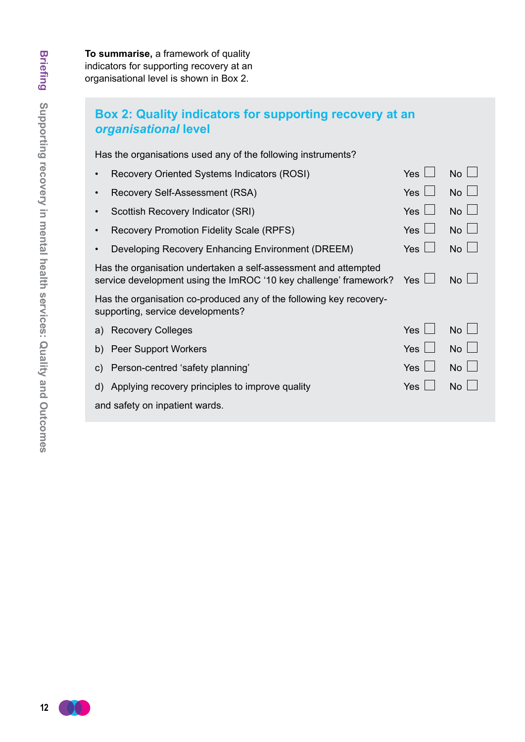# **Box 2: Quality indicators for supporting recovery at an**  *organisational* **level**

Has the organisations used any of the following instruments?

| Recovery Oriented Systems Indicators (ROSI)                                                                                          | Yes        | No          |
|--------------------------------------------------------------------------------------------------------------------------------------|------------|-------------|
| Recovery Self-Assessment (RSA)                                                                                                       | Yes $\Box$ | $No$ $\Box$ |
| Scottish Recovery Indicator (SRI)<br>$\bullet$                                                                                       | Yes $ $    | $No \Box$   |
| <b>Recovery Promotion Fidelity Scale (RPFS)</b>                                                                                      | Yes        | No          |
| Developing Recovery Enhancing Environment (DREEM)                                                                                    | <b>Yes</b> | No          |
| Has the organisation undertaken a self-assessment and attempted<br>service development using the ImROC '10 key challenge' framework? | Yes        | $No \perp$  |
| Has the organisation co-produced any of the following key recovery-<br>supporting, service developments?                             |            |             |
| a) Recovery Colleges                                                                                                                 | <b>Yes</b> | $No \perp$  |
| <b>Peer Support Workers</b><br>b)                                                                                                    | Yes $\Box$ | $No \Box$   |
| Person-centred 'safety planning'<br>$\mathsf{C}$                                                                                     | Yes $\Box$ | $No \Box$   |
| d) Applying recovery principles to improve quality                                                                                   | Yes        | No          |
| and safety on inpatient wards.                                                                                                       |            |             |
|                                                                                                                                      |            |             |

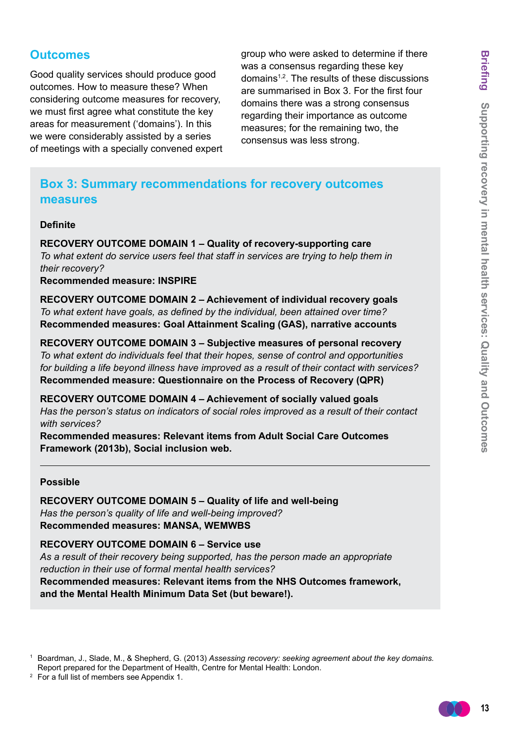# **Outcomes**

Good quality services should produce good outcomes. How to measure these? When considering outcome measures for recovery, we must first agree what constitute the key areas for measurement ('domains'). In this we were considerably assisted by a series of meetings with a specially convened expert group who were asked to determine if there was a consensus regarding these key domains1,2. The results of these discussions are summarised in Box 3. For the first four domains there was a strong consensus regarding their importance as outcome measures; for the remaining two, the consensus was less strong.

# **Box 3: Summary recommendations for recovery outcomes measures**

#### **Definite**

**RECOVERY OUTCOME DOMAIN 1 – Quality of recovery-supporting care** *To what extent do service users feel that staff in services are trying to help them in their recovery?* **Recommended measure: INSPIRE**

**RECOVERY OUTCOME DOMAIN 2 – Achievement of individual recovery goals** *To what extent have goals, as defined by the individual, been attained over time?*  **Recommended measures: Goal Attainment Scaling (GAS), narrative accounts**

**RECOVERY OUTCOME DOMAIN 3 – Subjective measures of personal recovery** *To what extent do individuals feel that their hopes, sense of control and opportunities for building a life beyond illness have improved as a result of their contact with services?*  **Recommended measure: Questionnaire on the Process of Recovery (QPR)**

**RECOVERY OUTCOME DOMAIN 4 – Achievement of socially valued goals** *Has the person's status on indicators of social roles improved as a result of their contact with services?* 

**Recommended measures: Relevant items from Adult Social Care Outcomes Framework (2013b), Social inclusion web.**

#### **Possible**

**RECOVERY OUTCOME DOMAIN 5 – Quality of life and well-being** *Has the person's quality of life and well-being improved?*  **Recommended measures: MANSA, WEMWBS**

**RECOVERY OUTCOME DOMAIN 6 – Service use** *As a result of their recovery being supported, has the person made an appropriate reduction in their use of formal mental health services?*  **Recommended measures: Relevant items from the NHS Outcomes framework, and the Mental Health Minimum Data Set (but beware!).**



<sup>1</sup> Boardman, J., Slade, M., & Shepherd, G. (2013) *Assessing recovery: seeking agreement about the key domains.*  Report prepared for the Department of Health, Centre for Mental Health: London.

<sup>2</sup> For a full list of members see Appendix 1.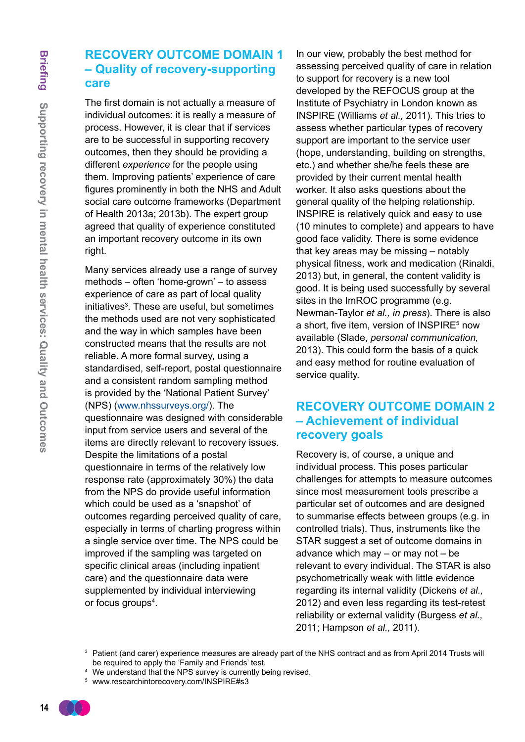# **RECOVERY OUTCOME DOMAIN 1 – Quality of recovery-supporting care**

The first domain is not actually a measure of individual outcomes: it is really a measure of process. However, it is clear that if services are to be successful in supporting recovery outcomes, then they should be providing a different *experience* for the people using them. Improving patients' experience of care figures prominently in both the NHS and Adult social care outcome frameworks (Department of Health 2013a; 2013b). The expert group agreed that quality of experience constituted an important recovery outcome in its own right.

Many services already use a range of survey methods – often 'home-grown' – to assess experience of care as part of local quality initiatives<sup>3</sup>. These are useful, but sometimes the methods used are not very sophisticated and the way in which samples have been constructed means that the results are not reliable. A more formal survey, using a standardised, self-report, postal questionnaire and a consistent random sampling method is provided by the 'National Patient Survey' (NPS) (www.nhssurveys.org/). The questionnaire was designed with considerable input from service users and several of the items are directly relevant to recovery issues. Despite the limitations of a postal questionnaire in terms of the relatively low response rate (approximately 30%) the data from the NPS do provide useful information which could be used as a 'snapshot' of outcomes regarding perceived quality of care, especially in terms of charting progress within a single service over time. The NPS could be improved if the sampling was targeted on specific clinical areas (including inpatient care) and the questionnaire data were supplemented by individual interviewing or focus groups<sup>4</sup>.

In our view, probably the best method for assessing perceived quality of care in relation to support for recovery is a new tool developed by the REFOCUS group at the Institute of Psychiatry in London known as INSPIRE (Williams *et al.,* 2011). This tries to assess whether particular types of recovery support are important to the service user (hope, understanding, building on strengths, etc.) and whether she/he feels these are provided by their current mental health worker. It also asks questions about the general quality of the helping relationship. INSPIRE is relatively quick and easy to use (10 minutes to complete) and appears to have good face validity. There is some evidence that key areas may be missing – notably physical fitness, work and medication (Rinaldi, 2013) but, in general, the content validity is good. It is being used successfully by several sites in the ImROC programme (e.g. Newman-Taylor *et al., in press*). There is also a short, five item, version of INSPIRE $5$  now available (Slade, *personal communication,* 2013). This could form the basis of a quick and easy method for routine evaluation of service quality.

# **RECOVERY OUTCOME DOMAIN 2 – Achievement of individual recovery goals**

Recovery is, of course, a unique and individual process. This poses particular challenges for attempts to measure outcomes since most measurement tools prescribe a particular set of outcomes and are designed to summarise effects between groups (e.g. in controlled trials). Thus, instruments like the STAR suggest a set of outcome domains in advance which may – or may not – be relevant to every individual. The STAR is also psychometrically weak with little evidence regarding its internal validity (Dickens *et al.,* 2012) and even less regarding its test-retest reliability or external validity (Burgess *et al.,* 2011; Hampson *et al.,* 2011).

- <sup>4</sup> We understand that the NPS survey is currently being revised.
- <sup>5</sup> www.researchintorecovery.com/INSPIRE#s3

<sup>&</sup>lt;sup>3</sup> Patient (and carer) experience measures are already part of the NHS contract and as from April 2014 Trusts will be required to apply the 'Family and Friends' test.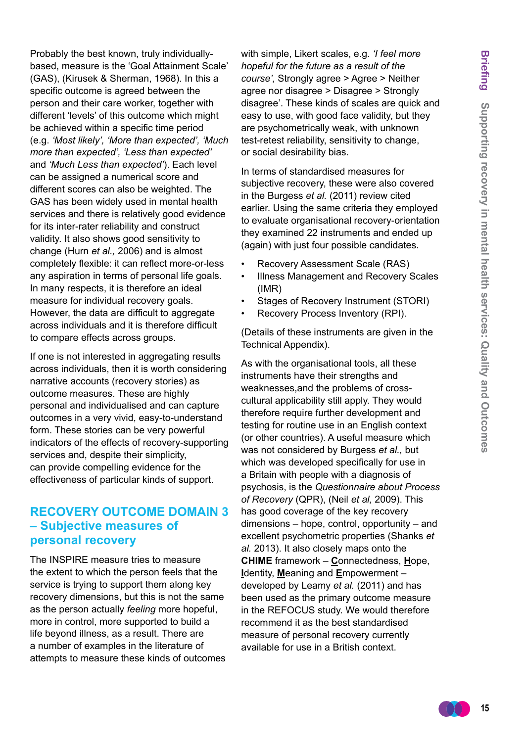Probably the best known, truly individuallybased, measure is the 'Goal Attainment Scale' (GAS), (Kirusek & Sherman, 1968). In this a specific outcome is agreed between the person and their care worker, together with different 'levels' of this outcome which might be achieved within a specific time period (e.g. *'Most likely', 'More than expected', 'Much more than expected', 'Less than expected'*  and *'Much Less than expected'*). Each level can be assigned a numerical score and different scores can also be weighted. The GAS has been widely used in mental health services and there is relatively good evidence for its inter-rater reliability and construct validity. It also shows good sensitivity to change (Hurn *et al.,* 2006) and is almost completely flexible: it can reflect more-or-less any aspiration in terms of personal life goals. In many respects, it is therefore an ideal measure for individual recovery goals. However, the data are difficult to aggregate across individuals and it is therefore difficult to compare effects across groups.

If one is not interested in aggregating results across individuals, then it is worth considering narrative accounts (recovery stories) as outcome measures. These are highly personal and individualised and can capture outcomes in a very vivid, easy-to-understand form. These stories can be very powerful indicators of the effects of recovery-supporting services and, despite their simplicity, can provide compelling evidence for the effectiveness of particular kinds of support.

### **RECOVERY OUTCOME DOMAIN 3 – Subjective measures of personal recovery**

The INSPIRE measure tries to measure the extent to which the person feels that the service is trying to support them along key recovery dimensions, but this is not the same as the person actually *feeling* more hopeful, more in control, more supported to build a life beyond illness, as a result. There are a number of examples in the literature of attempts to measure these kinds of outcomes with simple, Likert scales, e.g. *'I feel more hopeful for the future as a result of the course',* Strongly agree > Agree > Neither agree nor disagree > Disagree > Strongly disagree'. These kinds of scales are quick and easy to use, with good face validity, but they are psychometrically weak, with unknown test-retest reliability, sensitivity to change, or social desirability bias.

In terms of standardised measures for subjective recovery, these were also covered in the Burgess *et al.* (2011) review cited earlier. Using the same criteria they employed to evaluate organisational recovery-orientation they examined 22 instruments and ended up (again) with just four possible candidates.

- Recovery Assessment Scale (RAS)
- Illness Management and Recovery Scales (IMR)
- Stages of Recovery Instrument (STORI)
- Recovery Process Inventory (RPI).

(Details of these instruments are given in the Technical Appendix).

As with the organisational tools, all these instruments have their strengths and weaknesses,and the problems of crosscultural applicability still apply. They would therefore require further development and testing for routine use in an English context (or other countries). A useful measure which was not considered by Burgess *et al.,* but which was developed specifically for use in a Britain with people with a diagnosis of psychosis, is the *Questionnaire about Process of Recovery* (QPR), (Neil *et al,* 2009). This has good coverage of the key recovery dimensions – hope, control, opportunity – and excellent psychometric properties (Shanks *et al.* 2013). It also closely maps onto the **CHIME** framework – **C**onnectedness, **H**ope, **I**dentity, **M**eaning and **E**mpowerment – developed by Leamy *et al.* (2011) and has been used as the primary outcome measure in the REFOCUS study. We would therefore recommend it as the best standardised measure of personal recovery currently available for use in a British context.

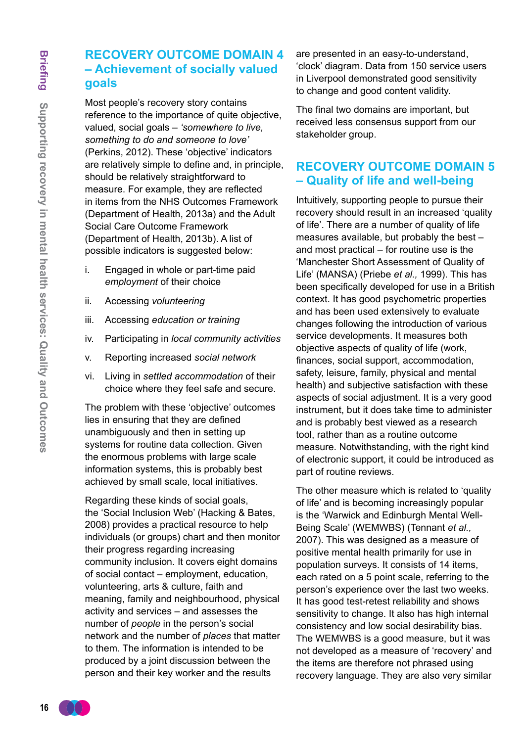# **RECOVERY OUTCOME DOMAIN 4 – Achievement of socially valued goals**

Most people's recovery story contains reference to the importance of quite objective, valued, social goals – *'somewhere to live, something to do and someone to love'*  (Perkins, 2012). These 'objective' indicators are relatively simple to define and, in principle, should be relatively straightforward to measure. For example, they are reflected in items from the NHS Outcomes Framework (Department of Health, 2013a) and the Adult Social Care Outcome Framework (Department of Health, 2013b). A list of possible indicators is suggested below:

- i. Engaged in whole or part-time paid *employment* of their choice
- ii. Accessing *volunteering*
- iii. Accessing *education or training*
- iv. Participating in *local community activities*
- v. Reporting increased *social network*
- vi. Living in *settled accommodation* of their choice where they feel safe and secure.

The problem with these 'objective' outcomes lies in ensuring that they are defined unambiguously and then in setting up systems for routine data collection. Given the enormous problems with large scale information systems, this is probably best achieved by small scale, local initiatives.

Regarding these kinds of social goals, the 'Social Inclusion Web' (Hacking & Bates, 2008) provides a practical resource to help individuals (or groups) chart and then monitor their progress regarding increasing community inclusion. It covers eight domains of social contact – employment, education, volunteering, arts & culture, faith and meaning, family and neighbourhood, physical activity and services – and assesses the number of *people* in the person's social network and the number of *places* that matter to them. The information is intended to be produced by a joint discussion between the person and their key worker and the results

are presented in an easy-to-understand, 'clock' diagram. Data from 150 service users in Liverpool demonstrated good sensitivity to change and good content validity.

The final two domains are important, but received less consensus support from our stakeholder group.

# **RECOVERY OUTCOME DOMAIN 5 – Quality of life and well-being**

Intuitively, supporting people to pursue their recovery should result in an increased 'quality of life'. There are a number of quality of life measures available, but probably the best – and most practical – for routine use is the 'Manchester Short Assessment of Quality of Life' (MANSA) (Priebe *et al.,* 1999). This has been specifically developed for use in a British context. It has good psychometric properties and has been used extensively to evaluate changes following the introduction of various service developments. It measures both objective aspects of quality of life (work, finances, social support, accommodation, safety, leisure, family, physical and mental health) and subjective satisfaction with these aspects of social adjustment. It is a very good instrument, but it does take time to administer and is probably best viewed as a research tool, rather than as a routine outcome measure. Notwithstanding, with the right kind of electronic support, it could be introduced as part of routine reviews.

The other measure which is related to 'quality of life' and is becoming increasingly popular is the 'Warwick and Edinburgh Mental Well-Being Scale' (WEMWBS) (Tennant *et al.,* 2007). This was designed as a measure of positive mental health primarily for use in population surveys. It consists of 14 items, each rated on a 5 point scale, referring to the person's experience over the last two weeks. It has good test-retest reliability and shows sensitivity to change. It also has high internal consistency and low social desirability bias. The WEMWBS is a good measure, but it was not developed as a measure of 'recovery' and the items are therefore not phrased using recovery language. They are also very similar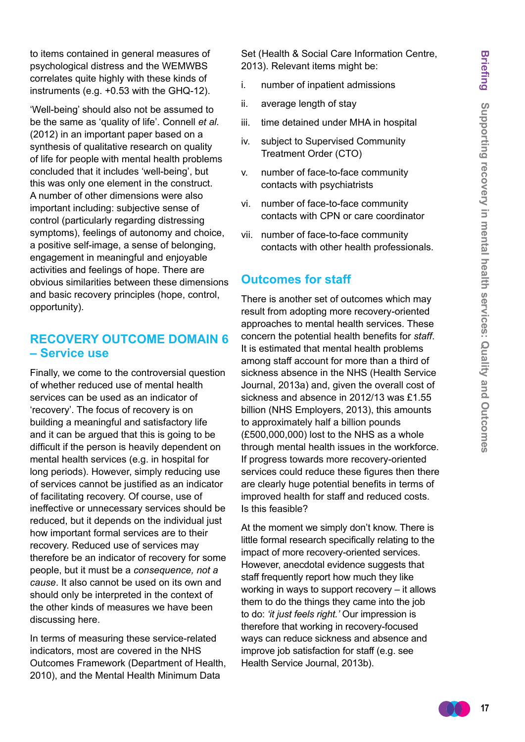to items contained in general measures of psychological distress and the WEMWBS correlates quite highly with these kinds of instruments (e.g. +0.53 with the GHQ-12).

'Well-being' should also not be assumed to be the same as 'quality of life'. Connell *et al.* (2012) in an important paper based on a synthesis of qualitative research on quality of life for people with mental health problems concluded that it includes 'well-being', but this was only one element in the construct. A number of other dimensions were also important including: subjective sense of control (particularly regarding distressing symptoms), feelings of autonomy and choice, a positive self-image, a sense of belonging, engagement in meaningful and enjoyable activities and feelings of hope. There are obvious similarities between these dimensions and basic recovery principles (hope, control, opportunity).

# **RECOVERY OUTCOME DOMAIN 6 – Service use**

Finally, we come to the controversial question of whether reduced use of mental health services can be used as an indicator of 'recovery'. The focus of recovery is on building a meaningful and satisfactory life and it can be argued that this is going to be difficult if the person is heavily dependent on mental health services (e.g. in hospital for long periods). However, simply reducing use of services cannot be justified as an indicator of facilitating recovery. Of course, use of ineffective or unnecessary services should be reduced, but it depends on the individual just how important formal services are to their recovery. Reduced use of services may therefore be an indicator of recovery for some people, but it must be a *consequence, not a cause*. It also cannot be used on its own and should only be interpreted in the context of the other kinds of measures we have been discussing here.

In terms of measuring these service-related indicators, most are covered in the NHS Outcomes Framework (Department of Health, 2010), and the Mental Health Minimum Data

Set (Health & Social Care Information Centre, 2013). Relevant items might be:

- i. number of inpatient admissions
- ii. average length of stay
- iii. time detained under MHA in hospital
- iv. subject to Supervised Community Treatment Order (CTO)
- v. number of face-to-face community contacts with psychiatrists
- vi. number of face-to-face community contacts with CPN or care coordinator
- vii. number of face-to-face community contacts with other health professionals.

# **Outcomes for staff**

There is another set of outcomes which may result from adopting more recovery-oriented approaches to mental health services. These concern the potential health benefits for *staff*. It is estimated that mental health problems among staff account for more than a third of sickness absence in the NHS (Health Service Journal, 2013a) and, given the overall cost of sickness and absence in 2012/13 was £1.55 billion (NHS Employers, 2013), this amounts to approximately half a billion pounds (£500,000,000) lost to the NHS as a whole through mental health issues in the workforce. If progress towards more recovery-oriented services could reduce these figures then there are clearly huge potential benefits in terms of improved health for staff and reduced costs. Is this feasible?

At the moment we simply don't know. There is little formal research specifically relating to the impact of more recovery-oriented services. However, anecdotal evidence suggests that staff frequently report how much they like working in ways to support recovery – it allows them to do the things they came into the job to do: *'it just feels right.'* Our impression is therefore that working in recovery-focused ways can reduce sickness and absence and improve job satisfaction for staff (e.g. see Health Service Journal, 2013b).

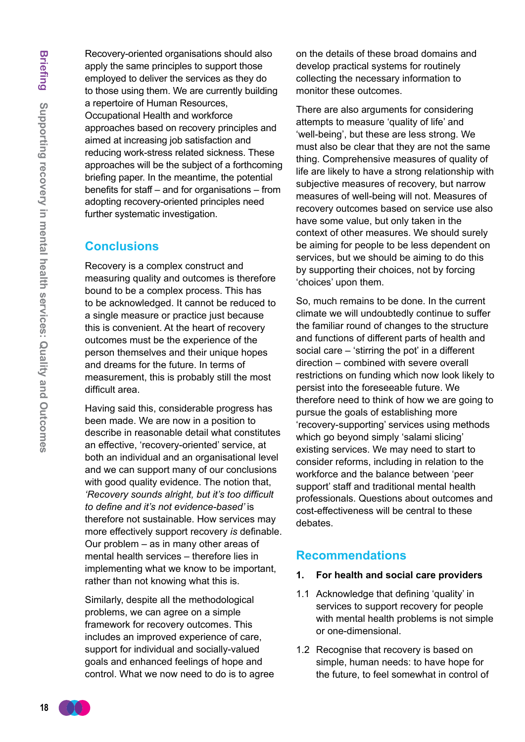Recovery-oriented organisations should also apply the same principles to support those employed to deliver the services as they do to those using them. We are currently building a repertoire of Human Resources, Occupational Health and workforce approaches based on recovery principles and aimed at increasing job satisfaction and reducing work-stress related sickness. These approaches will be the subject of a forthcoming briefing paper. In the meantime, the potential benefits for staff – and for organisations – from adopting recovery-oriented principles need further systematic investigation.

### **Conclusions**

Recovery is a complex construct and measuring quality and outcomes is therefore bound to be a complex process. This has to be acknowledged. It cannot be reduced to a single measure or practice just because this is convenient. At the heart of recovery outcomes must be the experience of the person themselves and their unique hopes and dreams for the future. In terms of measurement, this is probably still the most difficult area.

Having said this, considerable progress has been made. We are now in a position to describe in reasonable detail what constitutes an effective, 'recovery-oriented' service, at both an individual and an organisational level and we can support many of our conclusions with good quality evidence. The notion that, *'Recovery sounds alright, but it's too difficult to define and it's not evidence-based'* is therefore not sustainable. How services may more effectively support recovery *is* definable. Our problem – as in many other areas of mental health services – therefore lies in implementing what we know to be important, rather than not knowing what this is.

Similarly, despite all the methodological problems, we can agree on a simple framework for recovery outcomes. This includes an improved experience of care, support for individual and socially-valued goals and enhanced feelings of hope and control. What we now need to do is to agree on the details of these broad domains and develop practical systems for routinely collecting the necessary information to monitor these outcomes.

There are also arguments for considering attempts to measure 'quality of life' and 'well-being', but these are less strong. We must also be clear that they are not the same thing. Comprehensive measures of quality of life are likely to have a strong relationship with subjective measures of recovery, but narrow measures of well-being will not. Measures of recovery outcomes based on service use also have some value, but only taken in the context of other measures. We should surely be aiming for people to be less dependent on services, but we should be aiming to do this by supporting their choices, not by forcing 'choices' upon them.

So, much remains to be done. In the current climate we will undoubtedly continue to suffer the familiar round of changes to the structure and functions of different parts of health and social care – 'stirring the pot' in a different direction – combined with severe overall restrictions on funding which now look likely to persist into the foreseeable future. We therefore need to think of how we are going to pursue the goals of establishing more 'recovery-supporting' services using methods which go beyond simply 'salami slicing' existing services. We may need to start to consider reforms, including in relation to the workforce and the balance between 'peer support' staff and traditional mental health professionals. Questions about outcomes and cost-effectiveness will be central to these debates.

### **Recommendations**

- **1. For health and social care providers**
- 1.1 Acknowledge that defining 'quality' in services to support recovery for people with mental health problems is not simple or one-dimensional.
- 1.2 Recognise that recovery is based on simple, human needs: to have hope for the future, to feel somewhat in control of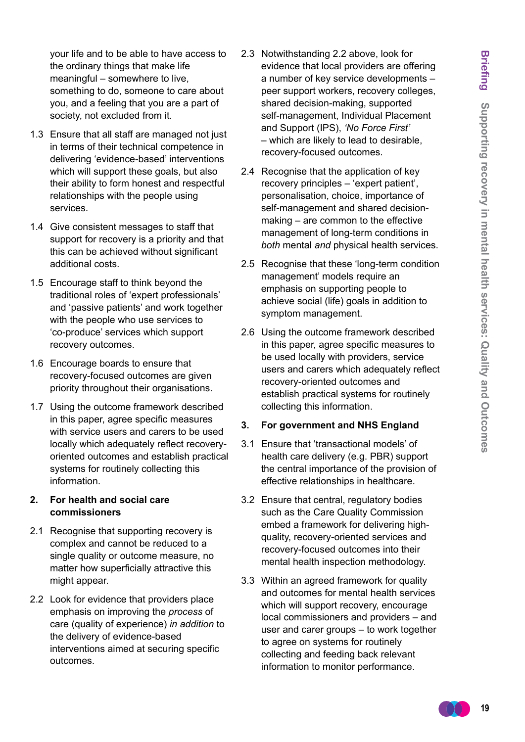your life and to be able to have access to the ordinary things that make life meaningful – somewhere to live, something to do, someone to care about you, and a feeling that you are a part of society, not excluded from it.

- 1.3 Ensure that all staff are managed not just in terms of their technical competence in delivering 'evidence-based' interventions which will support these goals, but also their ability to form honest and respectful relationships with the people using services.
- 1.4 Give consistent messages to staff that support for recovery is a priority and that this can be achieved without significant additional costs.
- 1.5 Encourage staff to think beyond the traditional roles of 'expert professionals' and 'passive patients' and work together with the people who use services to 'co-produce' services which support recovery outcomes.
- 1.6 Encourage boards to ensure that recovery-focused outcomes are given priority throughout their organisations.
- 1.7 Using the outcome framework described in this paper, agree specific measures with service users and carers to be used locally which adequately reflect recoveryoriented outcomes and establish practical systems for routinely collecting this information.

#### **2. For health and social care commissioners**

- 2.1 Recognise that supporting recovery is complex and cannot be reduced to a single quality or outcome measure, no matter how superficially attractive this might appear.
- 2.2 Look for evidence that providers place emphasis on improving the *process* of care (quality of experience) *in addition* to the delivery of evidence-based interventions aimed at securing specific outcomes.
- 2.3 Notwithstanding 2.2 above, look for evidence that local providers are offering a number of key service developments – peer support workers, recovery colleges, shared decision-making, supported self-management, Individual Placement and Support (IPS), *'No Force First'* – which are likely to lead to desirable, recovery-focused outcomes.
- 2.4 Recognise that the application of key recovery principles – 'expert patient', personalisation, choice, importance of self-management and shared decisionmaking – are common to the effective management of long-term conditions in *both* mental *and* physical health services.
- 2.5 Recognise that these 'long-term condition management' models require an emphasis on supporting people to achieve social (life) goals in addition to symptom management.
- 2.6 Using the outcome framework described in this paper, agree specific measures to be used locally with providers, service users and carers which adequately reflect recovery-oriented outcomes and establish practical systems for routinely collecting this information.

#### **3. For government and NHS England**

- 3.1 Ensure that 'transactional models' of health care delivery (e.g. PBR) support the central importance of the provision of effective relationships in healthcare.
- 3.2 Ensure that central, regulatory bodies such as the Care Quality Commission embed a framework for delivering highquality, recovery-oriented services and recovery-focused outcomes into their mental health inspection methodology.
- 3.3 Within an agreed framework for quality and outcomes for mental health services which will support recovery, encourage local commissioners and providers – and user and carer groups – to work together to agree on systems for routinely collecting and feeding back relevant information to monitor performance.

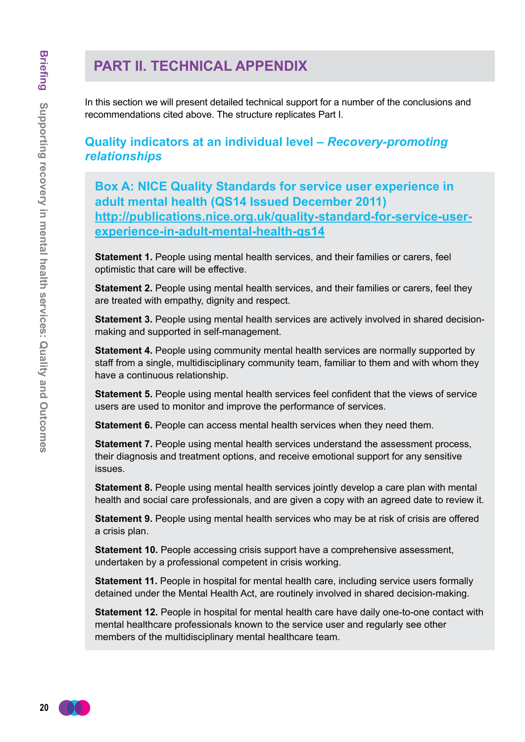# **PART II. TECHNICAL APPENDIX**

In this section we will present detailed technical support for a number of the conclusions and recommendations cited above. The structure replicates Part I.

# **Quality indicators at an individual level –** *Recovery-promoting relationships*

**Box A: NICE Quality Standards for service user experience in adult mental health (QS14 Issued December 2011) [http://publications.nice.org.uk/quality-standard-for-service-user](http://publications.nice.org.uk/quality-standard-for-service-user-experience-in-adult-mental-health-qs14)[experience-in-adult-mental-health-qs14](http://publications.nice.org.uk/quality-standard-for-service-user-experience-in-adult-mental-health-qs14)**

**Statement 1.** People using mental health services, and their families or carers, feel optimistic that care will be effective.

**Statement 2.** People using mental health services, and their families or carers, feel they are treated with empathy, dignity and respect.

**Statement 3.** People using mental health services are actively involved in shared decisionmaking and supported in self-management.

**Statement 4.** People using community mental health services are normally supported by staff from a single, multidisciplinary community team, familiar to them and with whom they have a continuous relationship.

**Statement 5.** People using mental health services feel confident that the views of service users are used to monitor and improve the performance of services.

**Statement 6.** People can access mental health services when they need them.

**Statement 7.** People using mental health services understand the assessment process, their diagnosis and treatment options, and receive emotional support for any sensitive issues.

**Statement 8.** People using mental health services jointly develop a care plan with mental health and social care professionals, and are given a copy with an agreed date to review it.

**Statement 9.** People using mental health services who may be at risk of crisis are offered a crisis plan.

**Statement 10.** People accessing crisis support have a comprehensive assessment, undertaken by a professional competent in crisis working.

**Statement 11.** People in hospital for mental health care, including service users formally detained under the Mental Health Act, are routinely involved in shared decision-making.

**Statement 12.** People in hospital for mental health care have daily one-to-one contact with mental healthcare professionals known to the service user and regularly see other members of the multidisciplinary mental healthcare team.

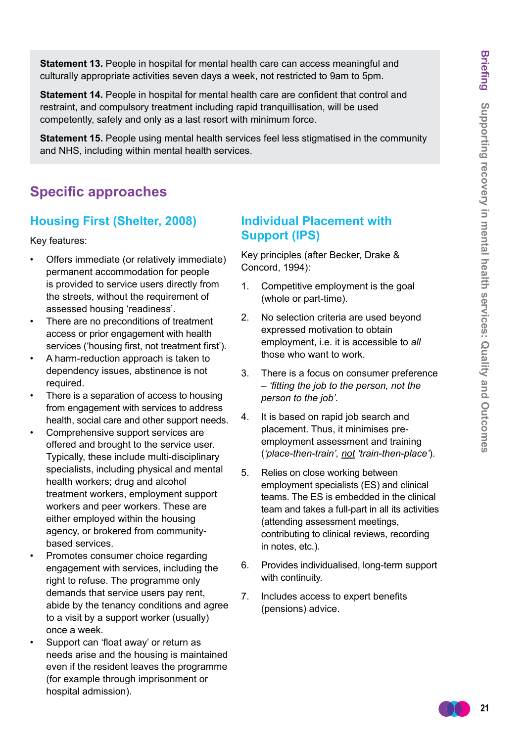**Statement 13.** People in hospital for mental health care can access meaningful and culturally appropriate activities seven days a week, not restricted to 9am to 5pm.

**Statement 14.** People in hospital for mental health care are confident that control and restraint, and compulsory treatment including rapid tranquillisation, will be used competently, safely and only as a last resort with minimum force.

**Statement 15.** People using mental health services feel less stigmatised in the community and NHS, including within mental health services.

# **Specific approaches**

### **Housing First (Shelter, 2008)**

Key features:

- Offers immediate (or relatively immediate) permanent accommodation for people is provided to service users directly from the streets, without the requirement of assessed housing 'readiness'.
- There are no preconditions of treatment access or prior engagement with health services ('housing first, not treatment first').
- A harm-reduction approach is taken to dependency issues, abstinence is not required.
- There is a separation of access to housing from engagement with services to address health, social care and other support needs.
- Comprehensive support services are offered and brought to the service user. Typically, these include multi-disciplinary specialists, including physical and mental health workers; drug and alcohol treatment workers, employment support workers and peer workers. These are either employed within the housing agency, or brokered from communitybased services.
- Promotes consumer choice regarding engagement with services, including the right to refuse. The programme only demands that service users pay rent, abide by the tenancy conditions and agree to a visit by a support worker (usually) once a week.
- Support can 'float away' or return as needs arise and the housing is maintained even if the resident leaves the programme (for example through imprisonment or hospital admission).

# **Individual Placement with Support (IPS)**

Key principles (after Becker, Drake & Concord, 1994):

- 1. Competitive employment is the goal (whole or part-time).
- 2. No selection criteria are used beyond expressed motivation to obtain employment, i.e. it is accessible to *all* those who want to work.
- 3. There is a focus on consumer preference – *'fitting the job to the person, not the person to the job'.*
- 4. It is based on rapid job search and placement. Thus, it minimises preemployment assessment and training (*'place-then-train', not 'train-then-place'*).
- 5. Relies on close working between employment specialists (ES) and clinical teams. The ES is embedded in the clinical team and takes a full-part in all its activities (attending assessment meetings, contributing to clinical reviews, recording in notes, etc.).
- 6. Provides individualised, long-term support with continuity.
- 7. Includes access to expert benefits (pensions) advice.

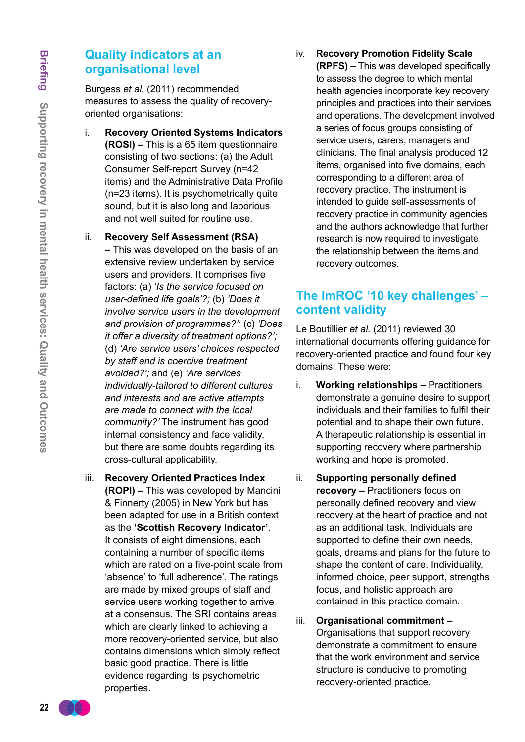# **Quality indicators at an organisational level**

Burgess *et al.* (2011) recommended measures to assess the quality of recoveryoriented organisations:

- i. **Recovery Oriented Systems Indicators (ROSI) –** This is a 65 item questionnaire consisting of two sections: (a) the Adult Consumer Self-report Survey (n=42 items) and the Administrative Data Profile (n=23 items). It is psychometrically quite sound, but it is also long and laborious and not well suited for routine use.
- ii. **Recovery Self Assessment (RSA) –** This was developed on the basis of an extensive review undertaken by service users and providers. It comprises five factors: (a) *'Is the service focused on user-defined life goals'?;* (b) *'Does it involve service users in the development and provision of programmes?';* (c) *'Does it offer a diversity of treatment options?';* (d) *'Are service users' choices respected by staff and is coercive treatment avoided?';* and (e) *'Are services individually-tailored to different cultures and interests and are active attempts are made to connect with the local community?'* The instrument has good internal consistency and face validity, but there are some doubts regarding its cross-cultural applicability.
- iii. **Recovery Oriented Practices Index (ROPI) –** This was developed by Mancini & Finnerty (2005) in New York but has been adapted for use in a British context as the **'Scottish Recovery Indicator'**. It consists of eight dimensions, each containing a number of specific items which are rated on a five-point scale from 'absence' to 'full adherence'. The ratings are made by mixed groups of staff and service users working together to arrive at a consensus. The SRI contains areas which are clearly linked to achieving a more recovery-oriented service, but also contains dimensions which simply reflect basic good practice. There is little evidence regarding its psychometric properties.

iv. **Recovery Promotion Fidelity Scale (RPFS) –** This was developed specifically to assess the degree to which mental health agencies incorporate key recovery principles and practices into their services and operations. The development involved a series of focus groups consisting of service users, carers, managers and clinicians. The final analysis produced 12 items, organised into five domains, each corresponding to a different area of recovery practice. The instrument is intended to guide self-assessments of recovery practice in community agencies and the authors acknowledge that further research is now required to investigate the relationship between the items and recovery outcomes.

# **The ImROC '10 key challenges' – content validity**

Le Boutillier *et al.* (2011) reviewed 30 international documents offering guidance for recovery-oriented practice and found four key domains. These were:

- i. **Working relationships** Practitioners demonstrate a genuine desire to support individuals and their families to fulfil their potential and to shape their own future. A therapeutic relationship is essential in supporting recovery where partnership working and hope is promoted.
- ii. **Supporting personally defined recovery –** Practitioners focus on personally defined recovery and view recovery at the heart of practice and not as an additional task. Individuals are supported to define their own needs, goals, dreams and plans for the future to shape the content of care. Individuality, informed choice, peer support, strengths focus, and holistic approach are contained in this practice domain.
- iii. **Organisational commitment –** Organisations that support recovery demonstrate a commitment to ensure that the work environment and service structure is conducive to promoting recovery-oriented practice.

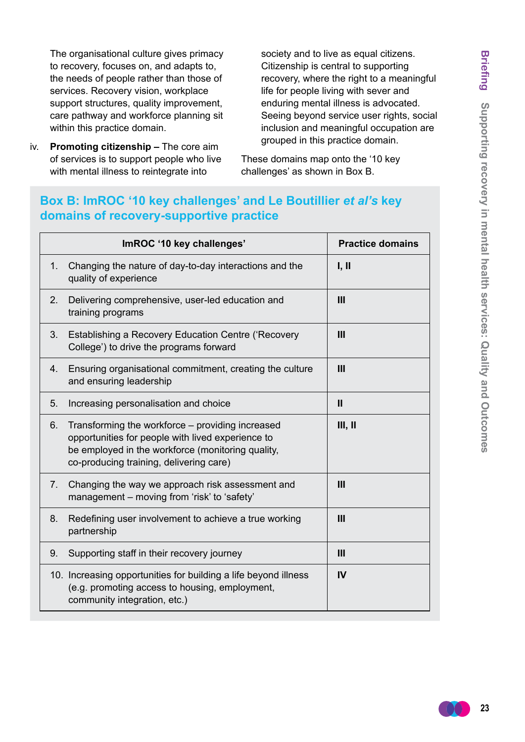The organisational culture gives primacy to recovery, focuses on, and adapts to, the needs of people rather than those of services. Recovery vision, workplace support structures, quality improvement, care pathway and workforce planning sit within this practice domain.

iv. **Promoting citizenship –** The core aim of services is to support people who live with mental illness to reintegrate into

society and to live as equal citizens. Citizenship is central to supporting recovery, where the right to a meaningful life for people living with sever and enduring mental illness is advocated. Seeing beyond service user rights, social inclusion and meaningful occupation are grouped in this practice domain.

These domains map onto the '10 key challenges' as shown in Box B.

# Box B: ImROC '10 key challenges' and Le Boutillier *et al's* key **domains of recovery-supportive practice**

|                                  | ImROC '10 key challenges'                                                                                                                                                                             | <b>Practice domains</b> |
|----------------------------------|-------------------------------------------------------------------------------------------------------------------------------------------------------------------------------------------------------|-------------------------|
| 1 <sub>1</sub>                   | Changing the nature of day-to-day interactions and the<br>quality of experience                                                                                                                       | I, II                   |
| 2 <sub>1</sub>                   | Delivering comprehensive, user-led education and<br>training programs                                                                                                                                 | $\mathbf{III}$          |
| 3.                               | Establishing a Recovery Education Centre ('Recovery<br>College') to drive the programs forward                                                                                                        | $\mathbf{III}$          |
| 4.                               | Ensuring organisational commitment, creating the culture<br>and ensuring leadership                                                                                                                   | $\mathbf{III}$          |
| 5 <sub>1</sub>                   | Increasing personalisation and choice                                                                                                                                                                 | $\mathbf{II}$           |
| 6.                               | Transforming the workforce – providing increased<br>opportunities for people with lived experience to<br>be employed in the workforce (monitoring quality,<br>co-producing training, delivering care) | III, II                 |
| $7_{\scriptscriptstyle{\ddots}}$ | Changing the way we approach risk assessment and<br>management - moving from 'risk' to 'safety'                                                                                                       | $\mathbf{III}$          |
| 8.                               | Redefining user involvement to achieve a true working<br>partnership                                                                                                                                  | $\mathbf{H}$            |
| 9.                               | Supporting staff in their recovery journey                                                                                                                                                            | $\mathbf{III}$          |
|                                  | 10. Increasing opportunities for building a life beyond illness<br>(e.g. promoting access to housing, employment,<br>community integration, etc.)                                                     | IV                      |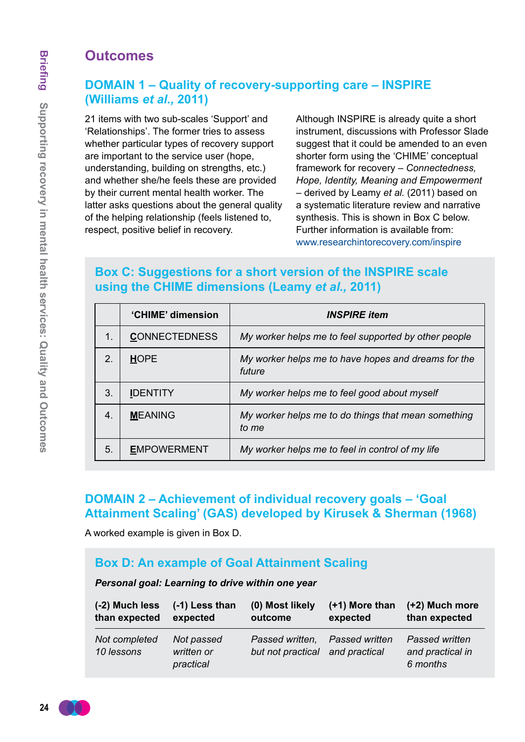# **Outcomes**

# **DOMAIN 1 – Quality of recovery-supporting care – INSPIRE (Williams** *et al.,* **2011)**

21 items with two sub-scales 'Support' and 'Relationships'. The former tries to assess whether particular types of recovery support are important to the service user (hope, understanding, building on strengths, etc.) and whether she/he feels these are provided by their current mental health worker. The latter asks questions about the general quality of the helping relationship (feels listened to, respect, positive belief in recovery.

Although INSPIRE is already quite a short instrument, discussions with Professor Slade suggest that it could be amended to an even shorter form using the 'CHIME' conceptual framework for recovery – *Connectedness, Hope, Identity, Meaning and Empowerment*  – derived by Leamy *et al.* (2011) based on a systematic literature review and narrative synthesis. This is shown in Box C below. Further information is available from: www.researchintorecovery.com/inspire

# **Box C: Suggestions for a short version of the INSPIRE scale using the CHIME dimensions (Leamy** *et al.,* **2011)**

|    | 'CHIME' dimension    | <b>INSPIRE</b> item                                           |
|----|----------------------|---------------------------------------------------------------|
| 1. | <b>CONNECTEDNESS</b> | My worker helps me to feel supported by other people          |
| 2. | <b>HOPE</b>          | My worker helps me to have hopes and dreams for the<br>future |
| 3. | <b>IDENTITY</b>      | My worker helps me to feel good about myself                  |
| 4. | <b>MEANING</b>       | My worker helps me to do things that mean something<br>to me  |
| 5. | <b>EMPOWERMENT</b>   | My worker helps me to feel in control of my life              |

# **DOMAIN 2 – Achievement of individual recovery goals – 'Goal Attainment Scaling' (GAS) developed by Kirusek & Sherman (1968)**

A worked example is given in Box D.

# **Box D: An example of Goal Attainment Scaling**

#### *Personal goal: Learning to drive within one year*

| (-2) Much less              | $(-1)$ Less than                      | (0) Most likely                                    | $(+1)$ More than      | (+2) Much more                                 |
|-----------------------------|---------------------------------------|----------------------------------------------------|-----------------------|------------------------------------------------|
| than expected               | expected                              | outcome                                            | expected              | than expected                                  |
| Not completed<br>10 lessons | Not passed<br>written or<br>practical | Passed written,<br>but not practical and practical | <b>Passed written</b> | Passed written<br>and practical in<br>6 months |

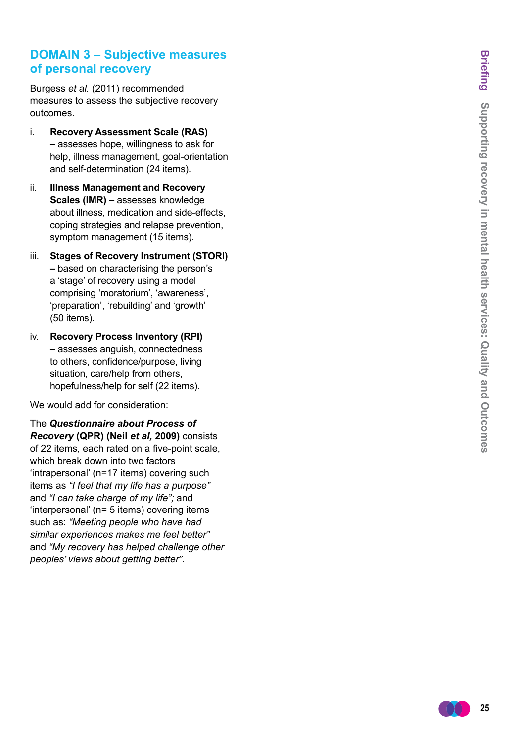# **DOMAIN 3 – Subjective measures of personal recovery**

Burgess *et al.* (2011) recommended measures to assess the subjective recovery outcomes.

- i. **Recovery Assessment Scale (RAS) –** assesses hope, willingness to ask for help, illness management, goal-orientation and self-determination (24 items).
- ii. **Illness Management and Recovery Scales (IMR) –** assesses knowledge about illness, medication and side-effects, coping strategies and relapse prevention, symptom management (15 items).
- iii. **Stages of Recovery Instrument (STORI) –** based on characterising the person's a 'stage' of recovery using a model comprising 'moratorium', 'awareness', 'preparation', 'rebuilding' and 'growth' (50 items).
- iv. **Recovery Process Inventory (RPI) –** assesses anguish, connectedness to others, confidence/purpose, living situation, care/help from others, hopefulness/help for self (22 items).

We would add for consideration:

The *Questionnaire about Process of Recovery* **(QPR) (Neil** *et al,* **2009)** consists of 22 items, each rated on a five-point scale, which break down into two factors 'intrapersonal' (n=17 items) covering such items as *"I feel that my life has a purpose"*  and *"I can take charge of my life";* and 'interpersonal' (n= 5 items) covering items such as: *"Meeting people who have had similar experiences makes me feel better"* and *"My recovery has helped challenge other peoples' views about getting better".*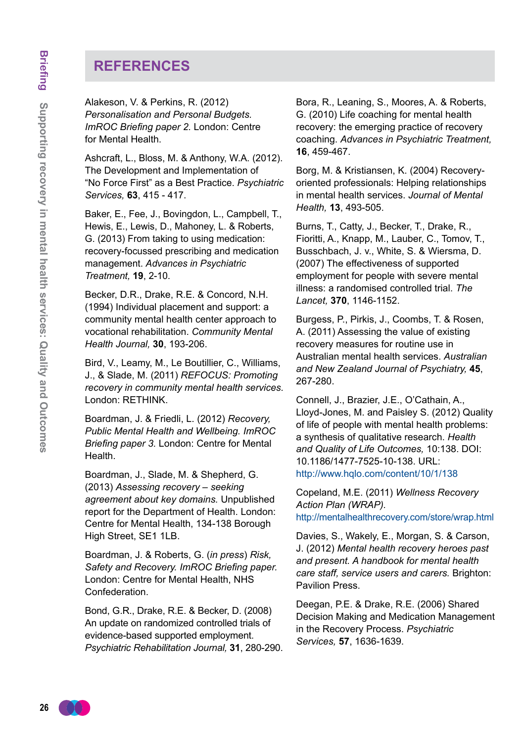# **REFERENCES**

Alakeson, V. & Perkins, R. (2012) *Personalisation and Personal Budgets. ImROC Briefing paper 2.* London: Centre for Mental Health.

Ashcraft, L., Bloss, M. & Anthony, W.A. (2012). The Development and Implementation of "No Force First" as a Best Practice. *Psychiatric Services,* **63**, 415 - 417.

Baker, E., Fee, J., Bovingdon, L., Campbell, T., Hewis, E., Lewis, D., Mahoney, L. & Roberts, G. (2013) From taking to using medication: recovery-focussed prescribing and medication management. *Advances in Psychiatric Treatment,* **19**, 2-10.

Becker, D.R., Drake, R.E. & Concord, N.H. (1994) Individual placement and support: a community mental health center approach to vocational rehabilitation. *Community Mental Health Journal,* **30**, 193-206.

Bird, V., Leamy, M., Le Boutillier, C., Williams, J., & Slade, M. (2011) *REFOCUS: Promoting recovery in community mental health services.*  London: RETHINK.

Boardman, J. & Friedli, L. (2012) *Recovery, Public Mental Health and Wellbeing. ImROC Briefing paper 3.* London: Centre for Mental Health.

Boardman, J., Slade, M. & Shepherd, G. (2013) *Assessing recovery – seeking agreement about key domains.* Unpublished report for the Department of Health. London: Centre for Mental Health, 134-138 Borough High Street, SE1 1LB.

Boardman, J. & Roberts, G. (*in press*) *Risk, Safety and Recovery. ImROC Briefing paper.* London: Centre for Mental Health, NHS Confederation.

Bond, G.R., Drake, R.E. & Becker, D. (2008) An update on randomized controlled trials of evidence-based supported employment. *Psychiatric Rehabilitation Journal,* **31**, 280-290. Bora, R., Leaning, S., Moores, A. & Roberts, G. (2010) Life coaching for mental health recovery: the emerging practice of recovery coaching. *Advances in Psychiatric Treatment,* **16**, 459-467.

Borg, M. & Kristiansen, K. (2004) Recoveryoriented professionals: Helping relationships in mental health services. *Journal of Mental Health,* **13**, 493-505.

Burns, T., Catty, J., Becker, T., Drake, R., Fioritti, A., Knapp, M., Lauber, C., Tomov, T., Busschbach, J. v., White, S. & Wiersma, D. (2007) The effectiveness of supported employment for people with severe mental illness: a randomised controlled trial. *The Lancet,* **370**, 1146-1152.

Burgess, P., Pirkis, J., Coombs, T. & Rosen, A. (2011) Assessing the value of existing recovery measures for routine use in Australian mental health services. *Australian and New Zealand Journal of Psychiatry,* **45**, 267-280.

Connell, J., Brazier, J.E., O'Cathain, A., Lloyd-Jones, M. and Paisley S. (2012) Quality of life of people with mental health problems: a synthesis of qualitative research. *Health and Quality of Life Outcomes,* 10:138. DOI: 10.1186/1477-7525-10-138. URL: http://www.hqlo.com/content/10/1/138

Copeland, M.E. (2011) *Wellness Recovery Action Plan (WRAP).* http://mentalhealthrecovery.com/store/wrap.html

Davies, S., Wakely, E., Morgan, S. & Carson, J. (2012) *Mental health recovery heroes past and present. A handbook for mental health care staff, service users and carers.* Brighton: Pavilion Press.

Deegan, P.E. & Drake, R.E. (2006) Shared Decision Making and Medication Management in the Recovery Process. *Psychiatric Services,* **57**, 1636-1639.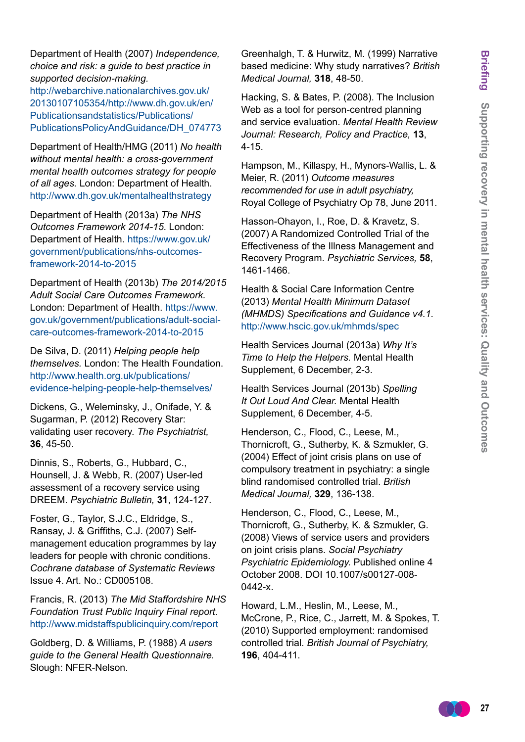Department of Health (2007) *Independence, choice and risk: a guide to best practice in supported decision-making.* 

[http://webarchive.nationalarchives.gov.uk/](http://webarchive.nationalarchives.gov.uk/20130107105354/http://www.dh.gov.uk/en/Publicationsandstatistics/Publications/PublicationsPolicyAndGuidance/DH_074773) [20130107105354/http://www.dh.gov.uk/en/](http://webarchive.nationalarchives.gov.uk/20130107105354/http://www.dh.gov.uk/en/Publicationsandstatistics/Publications/PublicationsPolicyAndGuidance/DH_074773) [Publicationsandstatistics/Publications/](http://webarchive.nationalarchives.gov.uk/20130107105354/http://www.dh.gov.uk/en/Publicationsandstatistics/Publications/PublicationsPolicyAndGuidance/DH_074773) [PublicationsPolicyAndGuidance/DH\\_074773](http://webarchive.nationalarchives.gov.uk/20130107105354/http://www.dh.gov.uk/en/Publicationsandstatistics/Publications/PublicationsPolicyAndGuidance/DH_074773)

Department of Health/HMG (2011) *No health without mental health: a cross-government mental health outcomes strategy for people of all ages.* London: Department of Health. http://www.dh.gov.uk/mentalhealthstrategy

Department of Health (2013a) *The NHS Outcomes Framework 2014-15*. London: Department of Health. [https://www.gov.uk/](https://www.gov.uk/government/publications/nhs-outcomes-framework-2014-to-2015) [government/publications/nhs-outcomes](https://www.gov.uk/government/publications/nhs-outcomes-framework-2014-to-2015)[framework-2014-to-2015](https://www.gov.uk/government/publications/nhs-outcomes-framework-2014-to-2015)

Department of Health (2013b) *The 2014/2015 Adult Social Care Outcomes Framework.*  London: Department of Health. [https://www.](https://www.gov.uk/government/publications/adult-social-care-outcomes-framework-2014-to-2015) [gov.uk/government/publications/adult-social](https://www.gov.uk/government/publications/adult-social-care-outcomes-framework-2014-to-2015)[care-outcomes-framework-2014-to-2015](https://www.gov.uk/government/publications/adult-social-care-outcomes-framework-2014-to-2015)

De Silva, D. (2011) *Helping people help themselves.* London: The Health Foundation. [http://www.health.org.uk/publications/](http://www.health.org.uk/publications/evidence-helping-people-help-themselves/) [evidence-helping-people-help-themselves/](http://www.health.org.uk/publications/evidence-helping-people-help-themselves/)

Dickens, G., Weleminsky, J., Onifade, Y. & Sugarman, P. (2012) Recovery Star: validating user recovery. *The Psychiatrist,*  **36**, 45-50.

Dinnis, S., Roberts, G., Hubbard, C., Hounsell, J. & Webb, R. (2007) User-led assessment of a recovery service using DREEM. *Psychiatric Bulletin,* **31**, 124-127.

Foster, G., Taylor, S.J.C., Eldridge, S., Ransay, J. & Griffiths, C.J. (2007) Selfmanagement education programmes by lay leaders for people with chronic conditions. *Cochrane database of Systematic Reviews*  Issue 4. Art. No.: CD005108.

Francis, R. (2013) *The Mid Staffordshire NHS Foundation Trust Public Inquiry Final report.* http://www.midstaffspublicinquiry.com/report

Goldberg, D. & Williams, P. (1988) *A users guide to the General Health Questionnaire.* Slough: NFER-Nelson.

Greenhalgh, T. & Hurwitz, M. (1999) Narrative based medicine: Why study narratives? *British Medical Journal,* **318**, 48-50.

Hacking, S. & Bates, P. (2008). The Inclusion Web as a tool for person-centred planning and service evaluation. *Mental Health Review Journal: Research, Policy and Practice,* **13**, 4-15.

Hampson, M., Killaspy, H., Mynors-Wallis, L. & Meier, R. (2011) *Outcome measures recommended for use in adult psychiatry,* Royal College of Psychiatry Op 78, June 2011.

Hasson-Ohayon, I., Roe, D. & Kravetz, S. (2007) A Randomized Controlled Trial of the Effectiveness of the Illness Management and Recovery Program. *Psychiatric Services,* **58**, 1461-1466.

Health & Social Care Information Centre (2013) *Mental Health Minimum Dataset (MHMDS) Specifications and Guidance v4.1.* http://www.hscic.gov.uk/mhmds/spec

Health Services Journal (2013a) *Why It's Time to Help the Helpers.* Mental Health Supplement, 6 December, 2-3.

Health Services Journal (2013b) *Spelling It Out Loud And Clear.* Mental Health Supplement, 6 December, 4-5.

Henderson, C., Flood, C., Leese, M., Thornicroft, G., Sutherby, K. & Szmukler, G. (2004) Effect of joint crisis plans on use of compulsory treatment in psychiatry: a single blind randomised controlled trial. *British Medical Journal,* **329**, 136-138.

Henderson, C., Flood, C., Leese, M., Thornicroft, G., Sutherby, K. & Szmukler, G. (2008) Views of service users and providers on joint crisis plans. *Social Psychiatry Psychiatric Epidemiology.* Published online 4 October 2008. DOI 10.1007/s00127-008- 0442-x.

Howard, L.M., Heslin, M., Leese, M., McCrone, P., Rice, C., Jarrett, M. & Spokes, T. (2010) Supported employment: randomised controlled trial. *British Journal of Psychiatry,*  **196**, 404-411.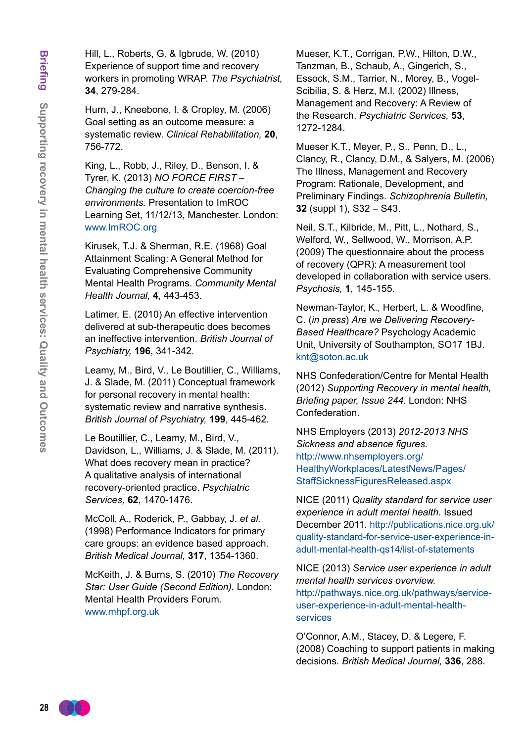Hill, L., Roberts, G. & Igbrude, W. (2010) Experience of support time and recovery workers in promoting WRAP. *The Psychiatrist,*  **34**, 279-284.

Hurn, J., Kneebone, I. & Cropley, M. (2006) Goal setting as an outcome measure: a systematic review. *Clinical Rehabilitation,* **20**, 756-772.

King, L., Robb, J., Riley, D., Benson, I. & Tyrer, K. (2013) *NO FORCE FIRST – Changing the culture to create coercion-free environments.* Presentation to ImROC Learning Set, 11/12/13, Manchester. London: www.ImROC.org

Kirusek, T.J. & Sherman, R.E. (1968) Goal Attainment Scaling: A General Method for Evaluating Comprehensive Community Mental Health Programs. *Community Mental Health Journal,* **4**, 443-453.

Latimer, E. (2010) An effective intervention delivered at sub-therapeutic does becomes an ineffective intervention. *British Journal of Psychiatry,* **196**, 341-342.

Leamy, M., Bird, V., Le Boutillier, C., Williams, J. & Slade, M. (2011) Conceptual framework for personal recovery in mental health: systematic review and narrative synthesis. *British Journal of Psychiatry,* **199**, 445-462.

Le Boutillier, C., Leamy, M., Bird, V., Davidson, L., Williams, J. & Slade, M. (2011). What does recovery mean in practice? A qualitative analysis of international recovery-oriented practice. *Psychiatric Services,* **62**, 1470-1476.

McColl, A., Roderick, P., Gabbay, J. *et al.*  (1998) Performance Indicators for primary care groups: an evidence based approach. *British Medical Journal,* **317**, 1354-1360.

McKeith, J. & Burns, S. (2010) *The Recovery Star: User Guide (Second Edition).* London: Mental Health Providers Forum. <www.mhpf.org.uk>

Mueser, K.T., Corrigan, P.W., Hilton, D.W., Tanzman, B., Schaub, A., Gingerich, S., Essock, S.M., Tarrier, N., Morey, B., Vogel-Scibilia, S. & Herz, M.I. (2002) Illness, Management and Recovery: A Review of the Research. *Psychiatric Services,* **53**, 1272-1284.

Mueser K.T., Meyer, P., S., Penn, D., L., Clancy, R., Clancy, D.M., & Salyers, M. (2006) The Illness, Management and Recovery Program: Rationale, Development, and Preliminary Findings. *Schizophrenia Bulletin,*  **32** (suppl 1), S32 – S43.

Neil, S.T., Kilbride, M., Pitt, L., Nothard, S., Welford, W., Sellwood, W., Morrison, A.P. (2009) The questionnaire about the process of recovery (QPR): A measurement tool developed in collaboration with service users. *Psychosis,* **1**, 145-155.

Newman-Taylor, K., Herbert, L. & Woodfine, C. (*in press*) *Are we Delivering Recovery-Based Healthcare?* Psychology Academic Unit, University of Southampton, SO17 1BJ. knt@soton.ac.uk

NHS Confederation/Centre for Mental Health (2012) *Supporting Recovery in mental health, Briefing paper, Issue 244.* London: NHS Confederation.

NHS Employers (2013) *2012*-*2013 NHS Sickness and absence figures.* [http://www.nhsemployers.org/](http://www.nhsemployers.org/HealthyWorkplaces/LatestNews/Pages/StaffSicknessFiguresReleased.aspx) [HealthyWorkplaces/LatestNews/Pages/](http://www.nhsemployers.org/HealthyWorkplaces/LatestNews/Pages/StaffSicknessFiguresReleased.aspx) [StaffSicknessFiguresReleased.aspx](http://www.nhsemployers.org/HealthyWorkplaces/LatestNews/Pages/StaffSicknessFiguresReleased.aspx)

NICE (2011) *Quality standard for service user experience in adult mental health.* Issued December 2011. [http://publications.nice.org.uk/](http://publications.nice.org.uk/ quality-standard-for-service-user-experience-in-adult-mental-health-qs14/list-of-statements) [quality-standard-for-service-user-experience-in](http://publications.nice.org.uk/ quality-standard-for-service-user-experience-in-adult-mental-health-qs14/list-of-statements)[adult-mental-health-qs14/list-of-statements](http://publications.nice.org.uk/ quality-standard-for-service-user-experience-in-adult-mental-health-qs14/list-of-statements)

NICE (2013) *Service user experience in adult mental health services overview.*  [http://pathways.nice.org.uk/pathways/service](http://pathways.nice.org.uk/pathways/service-user-experience-in-adult-mental-health-services)[user-experience-in-adult-mental-health](http://pathways.nice.org.uk/pathways/service-user-experience-in-adult-mental-health-services)[services](http://pathways.nice.org.uk/pathways/service-user-experience-in-adult-mental-health-services)

O'Connor, A.M., Stacey, D. & Legere, F. (2008) Coaching to support patients in making decisions. *British Medical Journal,* **336**, 288.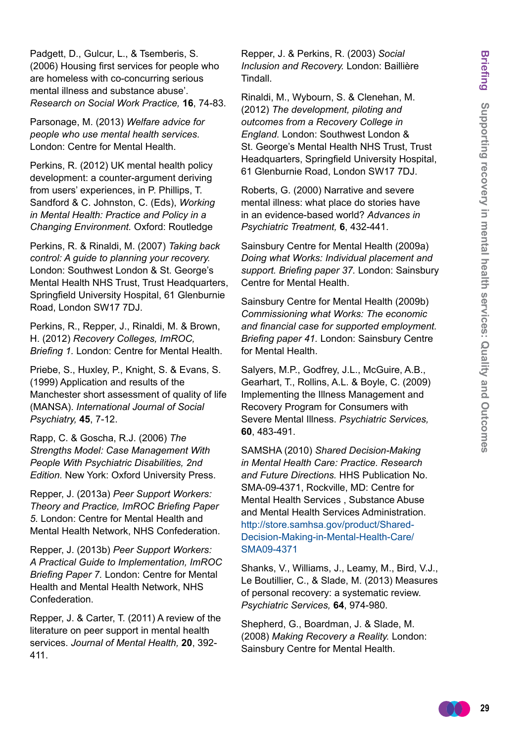Padgett, D., Gulcur, L., & Tsemberis, S. (2006) Housing first services for people who are homeless with co-concurring serious mental illness and substance abuse'. *Research on Social Work Practice,* **16**, 74-83.

Parsonage, M. (2013) *Welfare advice for people who use mental health services.* London: Centre for Mental Health.

Perkins, R. (2012) UK mental health policy development: a counter-argument deriving from users' experiences, in P. Phillips, T. Sandford & C. Johnston, C. (Eds), *Working in Mental Health: Practice and Policy in a Changing Environment.* Oxford: Routledge

Perkins, R. & Rinaldi, M. (2007) *Taking back control: A guide to planning your recovery.*  London: Southwest London & St. George's Mental Health NHS Trust, Trust Headquarters, Springfield University Hospital, 61 Glenburnie Road, London SW17 7DJ.

Perkins, R., Repper, J., Rinaldi, M. & Brown, H. (2012) *Recovery Colleges, ImROC, Briefing 1.* London: Centre for Mental Health.

Priebe, S., Huxley, P., Knight, S. & Evans, S. (1999) Application and results of the Manchester short assessment of quality of life (MANSA). *International Journal of Social Psychiatry,* **45**, 7-12.

Rapp, C. & Goscha, R.J. (2006) *The Strengths Model: Case Management With People With Psychiatric Disabilities, 2nd Edition.* New York: Oxford University Press.

Repper, J. (2013a) *Peer Support Workers: Theory and Practice, ImROC Briefing Paper 5.* London: Centre for Mental Health and Mental Health Network, NHS Confederation.

Repper, J. (2013b) *Peer Support Workers: A Practical Guide to Implementation, ImROC Briefing Paper 7.* London: Centre for Mental Health and Mental Health Network, NHS Confederation.

Repper, J. & Carter, T. (2011) A review of the literature on peer support in mental health services. *Journal of Mental Health,* **20**, 392- 411.

Repper, J. & Perkins, R. (2003) *Social Inclusion and Recovery.* London: Baillière Tindall.

Rinaldi, M., Wybourn, S. & Clenehan, M. (2012) *The development, piloting and outcomes from a Recovery College in England.* London: Southwest London & St. George's Mental Health NHS Trust, Trust Headquarters, Springfield University Hospital, 61 Glenburnie Road, London SW17 7DJ.

Roberts, G. (2000) Narrative and severe mental illness: what place do stories have in an evidence-based world? *Advances in Psychiatric Treatment,* **6**, 432-441.

Sainsbury Centre for Mental Health (2009a) *Doing what Works: Individual placement and support. Briefing paper 37.* London: Sainsbury Centre for Mental Health.

Sainsbury Centre for Mental Health (2009b) *Commissioning what Works: The economic and financial case for supported employment. Briefing paper 41.* London: Sainsbury Centre for Mental Health.

Salyers, M.P., Godfrey, J.L., McGuire, A.B., Gearhart, T., Rollins, A.L. & Boyle, C. (2009) Implementing the Illness Management and Recovery Program for Consumers with Severe Mental Illness. *Psychiatric Services,*  **60**, 483-491.

SAMSHA (2010) *Shared Decision-Making in Mental Health Care: Practice. Research and Future Directions.* HHS Publication No. SMA-09-4371, Rockville, MD: Centre for Mental Health Services , Substance Abuse and Mental Health Services Administration. [http://store.samhsa.gov/product/Shared-](http://store.samhsa.gov/product/Shared-Decision-Making-in-Mental-Health-Care/SMA09-4371)[Decision-Making-in-Mental-Health-Care/](http://store.samhsa.gov/product/Shared-Decision-Making-in-Mental-Health-Care/SMA09-4371) [SMA09-4371](http://store.samhsa.gov/product/Shared-Decision-Making-in-Mental-Health-Care/SMA09-4371)

Shanks, V., Williams, J., Leamy, M., Bird, V.J., Le Boutillier, C., & Slade, M. (2013) Measures of personal recovery: a systematic review. *Psychiatric Services,* **64**, 974-980.

Shepherd, G., Boardman, J. & Slade, M. (2008) *Making Recovery a Reality.* London: Sainsbury Centre for Mental Health.

$$
\bullet \bullet \bullet
$$
 29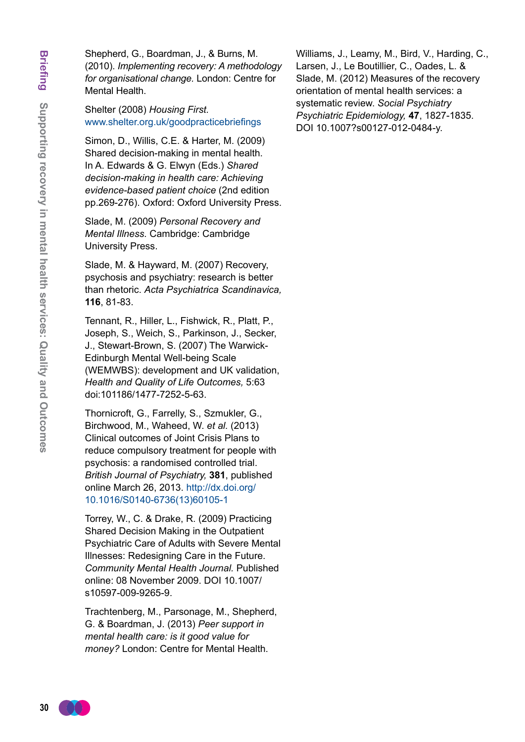Shepherd, G., Boardman, J., & Burns, M. (2010). *Implementing recovery: A methodology for organisational change.* London: Centre for Mental Health.

Shelter (2008) *Housing First.* <www.shelter.org.uk/goodpracticebriefings>

Simon, D., Willis, C.E. & Harter, M. (2009) Shared decision-making in mental health. In A. Edwards & G. Elwyn (Eds.) *Shared decision-making in health care: Achieving evidence-based patient choice* (2nd edition pp.269-276). Oxford: Oxford University Press.

Slade, M. (2009) *Personal Recovery and Mental Illness.* Cambridge: Cambridge University Press.

Slade, M. & Hayward, M. (2007) Recovery, psychosis and psychiatry: research is better than rhetoric. *Acta Psychiatrica Scandinavica,* **116**, 81-83.

Tennant, R., Hiller, L., Fishwick, R., Platt, P., Joseph, S., Weich, S., Parkinson, J., Secker, J., Stewart-Brown, S. (2007) The Warwick-Edinburgh Mental Well-being Scale (WEMWBS): development and UK validation, *Health and Quality of Life Outcomes,* 5:63 doi:101186/1477-7252-5-63.

Thornicroft, G., Farrelly, S., Szmukler, G., Birchwood, M., Waheed, W. *et al.* (2013) Clinical outcomes of Joint Crisis Plans to reduce compulsory treatment for people with psychosis: a randomised controlled trial. *British Journal of Psychiatry,* **381**, published online March 26, 2013. [http://dx.doi.org/](http://dx.doi.org/ 10.1016/S0140-6736(13)60105-1) [10.1016/S0140-6736\(13\)60105-1](http://dx.doi.org/ 10.1016/S0140-6736(13)60105-1)

Torrey, W., C. & Drake, R. (2009) Practicing Shared Decision Making in the Outpatient Psychiatric Care of Adults with Severe Mental Illnesses: Redesigning Care in the Future. *Community Mental Health Journal.* Published online: 08 November 2009. DOI 10.1007/ s10597-009-9265-9.

Trachtenberg, M., Parsonage, M., Shepherd, G. & Boardman, J. (2013) *Peer support in mental health care: is it good value for money?* London: Centre for Mental Health.

Williams, J., Leamy, M., Bird, V., Harding, C., Larsen, J., Le Boutillier, C., Oades, L. & Slade, M. (2012) Measures of the recovery orientation of mental health services: a systematic review. *Social Psychiatry Psychiatric Epidemiology,* **47**, 1827-1835. DOI 10.1007?s00127-012-0484-y.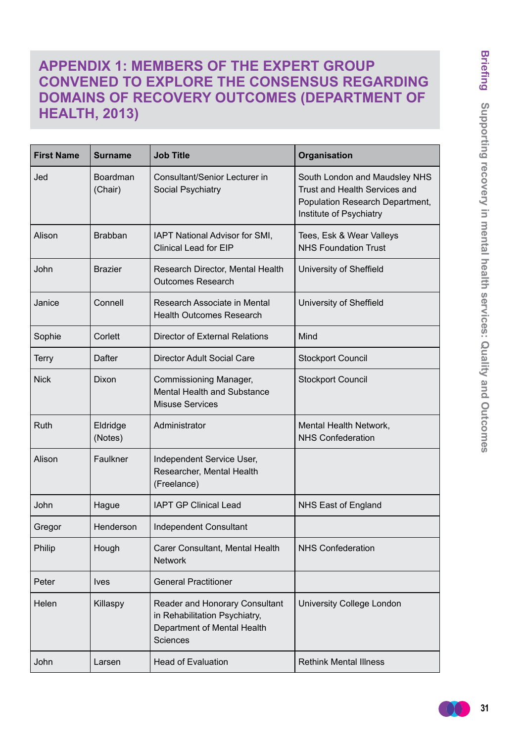# **APPENDIX 1: MEMBERS OF THE EXPERT GROUP CONVENED TO EXPLORE THE CONSENSUS REGARDING DOMAINS OF RECOVERY OUTCOMES (DEPARTMENT OF HEALTH, 2013)**

| <b>First Name</b> | Surname                    | <b>Job Title</b>                                                                                                  | Organisation                                                                                                                 |
|-------------------|----------------------------|-------------------------------------------------------------------------------------------------------------------|------------------------------------------------------------------------------------------------------------------------------|
| Jed               | <b>Boardman</b><br>(Chair) | Consultant/Senior Lecturer in<br>Social Psychiatry                                                                | South London and Maudsley NHS<br>Trust and Health Services and<br>Population Research Department,<br>Institute of Psychiatry |
| Alison            | <b>Brabban</b>             | IAPT National Advisor for SMI,<br><b>Clinical Lead for EIP</b>                                                    | Tees, Esk & Wear Valleys<br><b>NHS Foundation Trust</b>                                                                      |
| John              | <b>Brazier</b>             | Research Director, Mental Health<br><b>Outcomes Research</b>                                                      | University of Sheffield                                                                                                      |
| Janice            | Connell                    | Research Associate in Mental<br><b>Health Outcomes Research</b>                                                   | University of Sheffield                                                                                                      |
| Sophie            | Corlett                    | Director of External Relations                                                                                    | Mind                                                                                                                         |
| <b>Terry</b>      | Dafter                     | <b>Director Adult Social Care</b>                                                                                 | <b>Stockport Council</b>                                                                                                     |
| <b>Nick</b>       | Dixon                      | Commissioning Manager,<br><b>Mental Health and Substance</b><br><b>Misuse Services</b>                            | <b>Stockport Council</b>                                                                                                     |
| Ruth              | Eldridge<br>(Notes)        | Administrator                                                                                                     | Mental Health Network,<br><b>NHS Confederation</b>                                                                           |
| Alison            | Faulkner                   | Independent Service User,<br>Researcher, Mental Health<br>(Freelance)                                             |                                                                                                                              |
| John              | Hague                      | <b>IAPT GP Clinical Lead</b>                                                                                      | NHS East of England                                                                                                          |
| Gregor            | Henderson                  | <b>Independent Consultant</b>                                                                                     |                                                                                                                              |
| Philip            | Hough                      | Carer Consultant, Mental Health<br><b>Network</b>                                                                 | <b>NHS Confederation</b>                                                                                                     |
| Peter             | <b>Ives</b>                | <b>General Practitioner</b>                                                                                       |                                                                                                                              |
| Helen             | Killaspy                   | Reader and Honorary Consultant<br>in Rehabilitation Psychiatry,<br>Department of Mental Health<br><b>Sciences</b> | University College London                                                                                                    |
| John              | Larsen                     | <b>Head of Evaluation</b>                                                                                         | <b>Rethink Mental Illness</b>                                                                                                |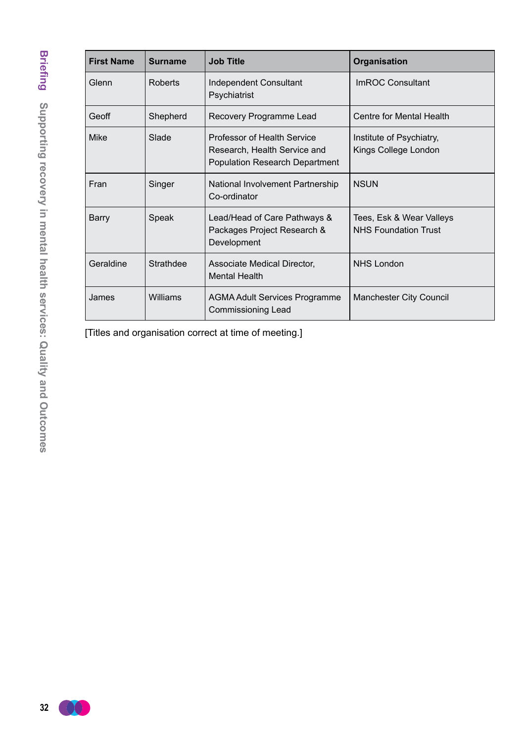| <b>First Name</b> | <b>Surname</b> | <b>Job Title</b>                                                                                     | Organisation                                            |
|-------------------|----------------|------------------------------------------------------------------------------------------------------|---------------------------------------------------------|
| Glenn             | Roberts        | <b>Independent Consultant</b><br>Psychiatrist                                                        | <b>ImROC Consultant</b>                                 |
| Geoff             | Shepherd       | Recovery Programme Lead                                                                              | Centre for Mental Health                                |
| <b>Mike</b>       | Slade          | Professor of Health Service<br>Research, Health Service and<br><b>Population Research Department</b> | Institute of Psychiatry,<br>Kings College London        |
| Fran              | Singer         | National Involvement Partnership<br>Co-ordinator                                                     | <b>NSUN</b>                                             |
| <b>Barry</b>      | Speak          | Lead/Head of Care Pathways &<br>Packages Project Research &<br>Development                           | Tees, Esk & Wear Valleys<br><b>NHS Foundation Trust</b> |
| Geraldine         | Strathdee      | Associate Medical Director,<br><b>Mental Health</b>                                                  | <b>NHS London</b>                                       |
| James             | Williams       | <b>AGMA Adult Services Programme</b><br><b>Commissioning Lead</b>                                    | Manchester City Council                                 |

[Titles and organisation correct at time of meeting.]

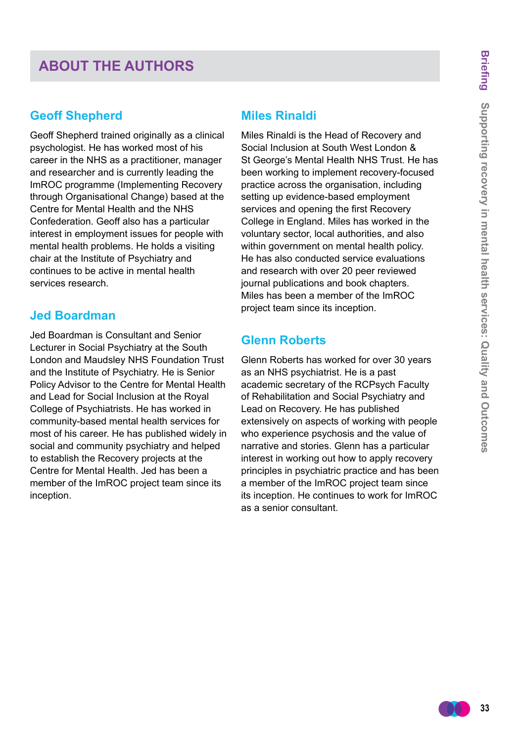# **ABOUT THE AUTHORS**

### **Geoff Shepherd**

Geoff Shepherd trained originally as a clinical psychologist. He has worked most of his career in the NHS as a practitioner, manager and researcher and is currently leading the ImROC programme (Implementing Recovery through Organisational Change) based at the Centre for Mental Health and the NHS Confederation. Geoff also has a particular interest in employment issues for people with mental health problems. He holds a visiting chair at the Institute of Psychiatry and continues to be active in mental health services research.

### **Jed Boardman**

Jed Boardman is Consultant and Senior Lecturer in Social Psychiatry at the South London and Maudsley NHS Foundation Trust and the Institute of Psychiatry. He is Senior Policy Advisor to the Centre for Mental Health and Lead for Social Inclusion at the Royal College of Psychiatrists. He has worked in community-based mental health services for most of his career. He has published widely in social and community psychiatry and helped to establish the Recovery projects at the Centre for Mental Health. Jed has been a member of the ImROC project team since its inception.

# **Miles Rinaldi**

Miles Rinaldi is the Head of Recovery and Social Inclusion at South West London & St George's Mental Health NHS Trust. He has been working to implement recovery-focused practice across the organisation, including setting up evidence-based employment services and opening the first Recovery College in England. Miles has worked in the voluntary sector, local authorities, and also within government on mental health policy. He has also conducted service evaluations and research with over 20 peer reviewed journal publications and book chapters. Miles has been a member of the ImROC project team since its inception.

# **Glenn Roberts**

Glenn Roberts has worked for over 30 years as an NHS psychiatrist. He is a past academic secretary of the RCPsych Faculty of Rehabilitation and Social Psychiatry and Lead on Recovery. He has published extensively on aspects of working with people who experience psychosis and the value of narrative and stories. Glenn has a particular interest in working out how to apply recovery principles in psychiatric practice and has been a member of the ImROC project team since its inception. He continues to work for ImROC as a senior consultant.